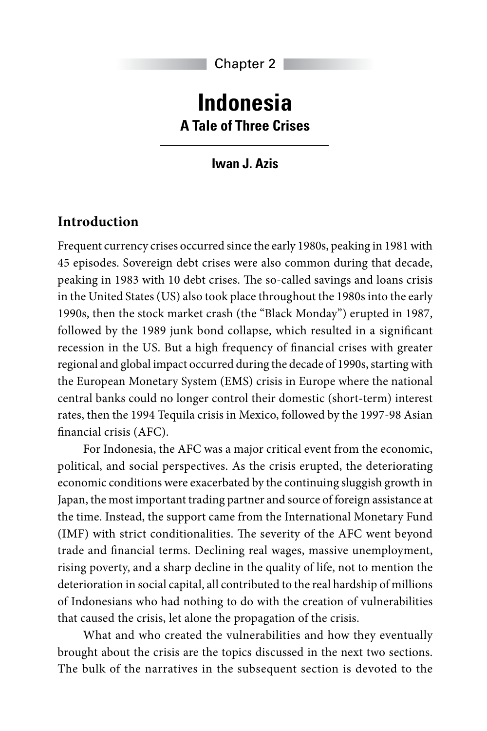Chapter 2

# **Indonesia A Tale of Three Crises**

**Iwan J. Azis**

### **Introduction**

Frequent currency crises occurred since the early 1980s, peaking in 1981 with 45 episodes. Sovereign debt crises were also common during that decade, peaking in 1983 with 10 debt crises. The so-called savings and loans crisis in the United States (US) also took place throughout the 1980s into the early 1990s, then the stock market crash (the "Black Monday") erupted in 1987, followed by the 1989 junk bond collapse, which resulted in a significant recession in the US. But a high frequency of financial crises with greater regional and global impact occurred during the decade of 1990s, starting with the European Monetary System (EMS) crisis in Europe where the national central banks could no longer control their domestic (short-term) interest rates, then the 1994 Tequila crisis in Mexico, followed by the 1997-98 Asian financial crisis (AFC).

For Indonesia, the AFC was a major critical event from the economic, political, and social perspectives. As the crisis erupted, the deteriorating economic conditions were exacerbated by the continuing sluggish growth in Japan, the most important trading partner and source of foreign assistance at the time. Instead, the support came from the International Monetary Fund (IMF) with strict conditionalities. The severity of the AFC went beyond trade and financial terms. Declining real wages, massive unemployment, rising poverty, and a sharp decline in the quality of life, not to mention the deterioration in social capital, all contributed to the real hardship of millions of Indonesians who had nothing to do with the creation of vulnerabilities that caused the crisis, let alone the propagation of the crisis.

What and who created the vulnerabilities and how they eventually brought about the crisis are the topics discussed in the next two sections. The bulk of the narratives in the subsequent section is devoted to the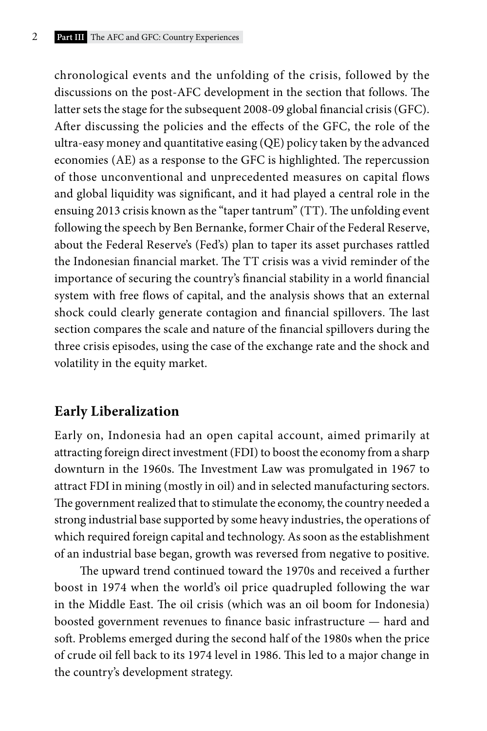chronological events and the unfolding of the crisis, followed by the discussions on the post-AFC development in the section that follows. The latter sets the stage for the subsequent 2008-09 global financial crisis (GFC). After discussing the policies and the effects of the GFC, the role of the ultra-easy money and quantitative easing (QE) policy taken by the advanced economies (AE) as a response to the GFC is highlighted. The repercussion of those unconventional and unprecedented measures on capital flows and global liquidity was significant, and it had played a central role in the ensuing 2013 crisis known as the "taper tantrum" (TT). The unfolding event following the speech by Ben Bernanke, former Chair of the Federal Reserve, about the Federal Reserve's (Fed's) plan to taper its asset purchases rattled the Indonesian financial market. The TT crisis was a vivid reminder of the importance of securing the country's financial stability in a world financial system with free flows of capital, and the analysis shows that an external shock could clearly generate contagion and financial spillovers. The last section compares the scale and nature of the financial spillovers during the three crisis episodes, using the case of the exchange rate and the shock and volatility in the equity market.

# **Early Liberalization**

Early on, Indonesia had an open capital account, aimed primarily at attracting foreign direct investment (FDI) to boost the economy from a sharp downturn in the 1960s. The Investment Law was promulgated in 1967 to attract FDI in mining (mostly in oil) and in selected manufacturing sectors. The government realized that to stimulate the economy, the country needed a strong industrial base supported by some heavy industries, the operations of which required foreign capital and technology. As soon as the establishment of an industrial base began, growth was reversed from negative to positive.

The upward trend continued toward the 1970s and received a further boost in 1974 when the world's oil price quadrupled following the war in the Middle East. The oil crisis (which was an oil boom for Indonesia) boosted government revenues to finance basic infrastructure — hard and soft. Problems emerged during the second half of the 1980s when the price of crude oil fell back to its 1974 level in 1986. This led to a major change in the country's development strategy.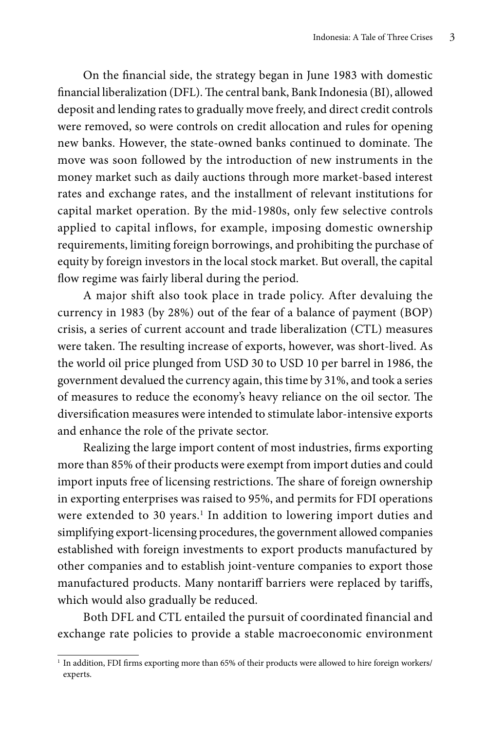On the financial side, the strategy began in June 1983 with domestic financial liberalization (DFL). The central bank, Bank Indonesia (BI), allowed deposit and lending rates to gradually move freely, and direct credit controls were removed, so were controls on credit allocation and rules for opening new banks. However, the state-owned banks continued to dominate. The move was soon followed by the introduction of new instruments in the money market such as daily auctions through more market-based interest rates and exchange rates, and the installment of relevant institutions for capital market operation. By the mid-1980s, only few selective controls applied to capital inflows, for example, imposing domestic ownership requirements, limiting foreign borrowings, and prohibiting the purchase of equity by foreign investors in the local stock market. But overall, the capital flow regime was fairly liberal during the period.

A major shift also took place in trade policy. After devaluing the currency in 1983 (by 28%) out of the fear of a balance of payment (BOP) crisis, a series of current account and trade liberalization (CTL) measures were taken. The resulting increase of exports, however, was short-lived. As the world oil price plunged from USD 30 to USD 10 per barrel in 1986, the government devalued the currency again, this time by 31%, and took a series of measures to reduce the economy's heavy reliance on the oil sector. The diversification measures were intended to stimulate labor-intensive exports and enhance the role of the private sector.

Realizing the large import content of most industries, firms exporting more than 85% of their products were exempt from import duties and could import inputs free of licensing restrictions. The share of foreign ownership in exporting enterprises was raised to 95%, and permits for FDI operations were extended to 30 years.<sup>1</sup> In addition to lowering import duties and simplifying export-licensing procedures, the government allowed companies established with foreign investments to export products manufactured by other companies and to establish joint-venture companies to export those manufactured products. Many nontariff barriers were replaced by tariffs, which would also gradually be reduced.

Both DFL and CTL entailed the pursuit of coordinated financial and exchange rate policies to provide a stable macroeconomic environment

 $1$  In addition, FDI firms exporting more than 65% of their products were allowed to hire foreign workers/ experts.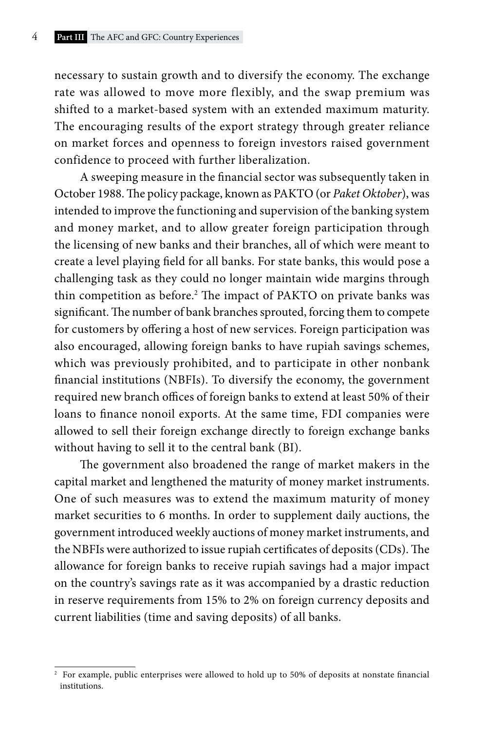necessary to sustain growth and to diversify the economy. The exchange rate was allowed to move more flexibly, and the swap premium was shifted to a market-based system with an extended maximum maturity. The encouraging results of the export strategy through greater reliance on market forces and openness to foreign investors raised government confidence to proceed with further liberalization.

A sweeping measure in the financial sector was subsequently taken in October 1988. The policy package, known as PAKTO (or *Paket Oktober*), was intended to improve the functioning and supervision of the banking system and money market, and to allow greater foreign participation through the licensing of new banks and their branches, all of which were meant to create a level playing field for all banks. For state banks, this would pose a challenging task as they could no longer maintain wide margins through thin competition as before.<sup>2</sup> The impact of PAKTO on private banks was significant. The number of bank branches sprouted, forcing them to compete for customers by offering a host of new services. Foreign participation was also encouraged, allowing foreign banks to have rupiah savings schemes, which was previously prohibited, and to participate in other nonbank financial institutions (NBFIs). To diversify the economy, the government required new branch offices of foreign banks to extend at least 50% of their loans to finance nonoil exports. At the same time, FDI companies were allowed to sell their foreign exchange directly to foreign exchange banks without having to sell it to the central bank (BI).

The government also broadened the range of market makers in the capital market and lengthened the maturity of money market instruments. One of such measures was to extend the maximum maturity of money market securities to 6 months. In order to supplement daily auctions, the government introduced weekly auctions of money market instruments, and the NBFIs were authorized to issue rupiah certificates of deposits (CDs). The allowance for foreign banks to receive rupiah savings had a major impact on the country's savings rate as it was accompanied by a drastic reduction in reserve requirements from 15% to 2% on foreign currency deposits and current liabilities (time and saving deposits) of all banks.

<sup>2</sup> For example, public enterprises were allowed to hold up to 50% of deposits at nonstate financial institutions.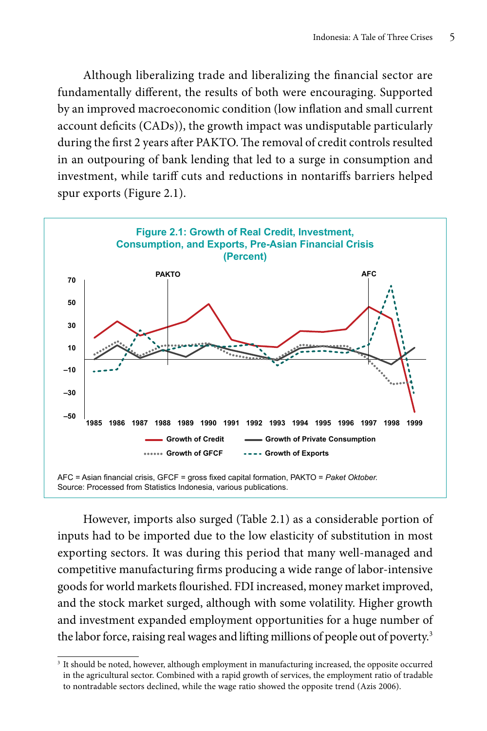Although liberalizing trade and liberalizing the financial sector are fundamentally different, the results of both were encouraging. Supported by an improved macroeconomic condition (low inflation and small current account deficits (CADs)), the growth impact was undisputable particularly during the first 2 years after PAKTO. The removal of credit controls resulted in an outpouring of bank lending that led to a surge in consumption and investment, while tariff cuts and reductions in nontariffs barriers helped spur exports (Figure 2.1).



However, imports also surged (Table 2.1) as a considerable portion of inputs had to be imported due to the low elasticity of substitution in most exporting sectors. It was during this period that many well-managed and competitive manufacturing firms producing a wide range of labor-intensive goods for world markets flourished. FDI increased, money market improved, and the stock market surged, although with some volatility. Higher growth and investment expanded employment opportunities for a huge number of the labor force, raising real wages and lifting millions of people out of poverty.<sup>3</sup>

<sup>&</sup>lt;sup>3</sup> It should be noted, however, although employment in manufacturing increased, the opposite occurred in the agricultural sector. Combined with a rapid growth of services, the employment ratio of tradable to nontradable sectors declined, while the wage ratio showed the opposite trend (Azis 2006).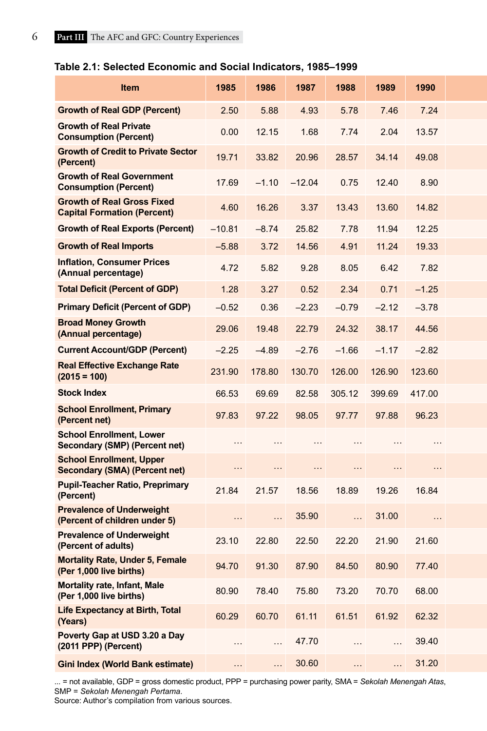### **Table 2.1: Selected Economic and Social Indicators, 1985–1999**

| Item                                                                    | 1985                 | 1986          | 1987                 | 1988                 | 1989                 | 1990                 |  |
|-------------------------------------------------------------------------|----------------------|---------------|----------------------|----------------------|----------------------|----------------------|--|
| <b>Growth of Real GDP (Percent)</b>                                     | 2.50                 | 5.88          | 4.93                 | 5.78                 | 7.46                 | 7.24                 |  |
| <b>Growth of Real Private</b><br><b>Consumption (Percent)</b>           | 0.00                 | 12.15         | 1.68                 | 7.74                 | 2.04                 | 13.57                |  |
| <b>Growth of Credit to Private Sector</b><br>(Percent)                  | 19.71                | 33.82         | 20.96                | 28.57                | 34.14                | 49.08                |  |
| <b>Growth of Real Government</b><br><b>Consumption (Percent)</b>        | 17.69                | $-1.10$       | $-12.04$             | 0.75                 | 12.40                | 8.90                 |  |
| <b>Growth of Real Gross Fixed</b><br><b>Capital Formation (Percent)</b> | 4.60                 | 16.26         | 3.37                 | 13.43                | 13.60                | 14.82                |  |
| <b>Growth of Real Exports (Percent)</b>                                 | $-10.81$             | $-8.74$       | 25.82                | 7.78                 | 11.94                | 12.25                |  |
| <b>Growth of Real Imports</b>                                           | $-5.88$              | 3.72          | 14.56                | 4.91                 | 11.24                | 19.33                |  |
| <b>Inflation, Consumer Prices</b><br>(Annual percentage)                | 4.72                 | 5.82          | 9.28                 | 8.05                 | 6.42                 | 7.82                 |  |
| <b>Total Deficit (Percent of GDP)</b>                                   | 1.28                 | 3.27          | 0.52                 | 2.34                 | 0.71                 | $-1.25$              |  |
| <b>Primary Deficit (Percent of GDP)</b>                                 | $-0.52$              | 0.36          | $-2.23$              | $-0.79$              | $-2.12$              | $-3.78$              |  |
| <b>Broad Money Growth</b><br>(Annual percentage)                        | 29.06                | 19.48         | 22.79                | 24.32                | 38.17                | 44.56                |  |
| <b>Current Account/GDP (Percent)</b>                                    | $-2.25$              | $-4.89$       | $-2.76$              | $-1.66$              | $-1.17$              | $-2.82$              |  |
| <b>Real Effective Exchange Rate</b><br>$(2015 = 100)$                   | 231.90               | 178.80        | 130.70               | 126.00               | 126.90               | 123.60               |  |
| <b>Stock Index</b>                                                      | 66.53                | 69.69         | 82.58                | 305.12               | 399.69               | 417.00               |  |
| <b>School Enrollment, Primary</b><br>(Percent net)                      | 97.83                | 97.22         | 98.05                | 97.77                | 97.88                | 96.23                |  |
| <b>School Enrollment, Lower</b><br>Secondary (SMP) (Percent net)        | $\cdots$             |               |                      | $\cdots$             |                      | $\cdots$             |  |
| <b>School Enrollment, Upper</b><br><b>Secondary (SMA) (Percent net)</b> | $\sim$ $\sim$ $\sim$ | $\cdots$      | $\sim$ $\sim$ $\sim$ | $\sim$ $\sim$ $\sim$ | $\sim$ $\sim$ $\sim$ | $\sim$ $\sim$ $\sim$ |  |
| <b>Pupil-Teacher Ratio, Preprimary</b><br>(Percent)                     | 21.84                | 21.57         | 18.56                | 18.89                | 19.26                | 16.84                |  |
| <b>Prevalence of Underweight</b><br>(Percent of children under 5)       |                      | $\cdots$      | 35.90                | $\sim 100$           | 31.00                | $\ldots$             |  |
| <b>Prevalence of Underweight</b><br>(Percent of adults)                 | 23.10                | 22.80         | 22.50                | 22.20                | 21.90                | 21.60                |  |
| <b>Mortality Rate, Under 5, Female</b><br>(Per 1,000 live births)       | 94.70                | 91.30         | 87.90                | 84.50                | 80.90                | 77.40                |  |
| Mortality rate, Infant, Male<br>(Per 1,000 live births)                 | 80.90                | 78.40         | 75.80                | 73.20                | 70.70                | 68.00                |  |
| <b>Life Expectancy at Birth, Total</b><br>(Years)                       | 60.29                | 60.70         | 61.11                | 61.51                | 61.92                | 62.32                |  |
| Poverty Gap at USD 3.20 a Day<br>(2011 PPP) (Percent)                   | $\sim 100$           | $\sim$ $\sim$ | 47.70                | $\sim$ $\sim$ $\sim$ | $\sim$               | 39.40                |  |
| <b>Gini Index (World Bank estimate)</b>                                 | $\sim 100$           | $\sim 100$    | 30.60                | $\sim 10^{-1}$       | $\sim$               | 31.20                |  |

... = not available, GDP = gross domestic product, PPP = purchasing power parity, SMA = *Sekolah Menengah Atas*, SMP = *Sekolah Menengah Pertama*.

Source: Author's compilation from various sources.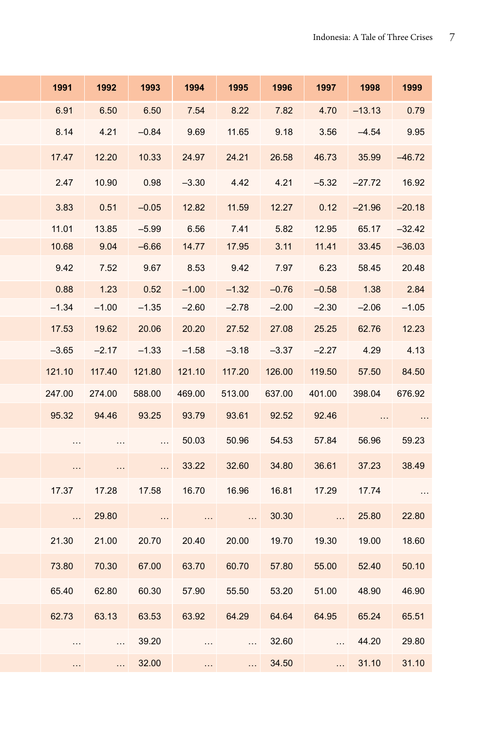| 1991                 | 1992                 | 1993          | 1994                 | 1995        | 1996    | 1997           | 1998                 | 1999          |
|----------------------|----------------------|---------------|----------------------|-------------|---------|----------------|----------------------|---------------|
| 6.91                 | 6.50                 | 6.50          | 7.54                 | 8.22        | 7.82    | 4.70           | $-13.13$             | 0.79          |
| 8.14                 | 4.21                 | $-0.84$       | 9.69                 | 11.65       | 9.18    | 3.56           | $-4.54$              | 9.95          |
| 17.47                | 12.20                | 10.33         | 24.97                | 24.21       | 26.58   | 46.73          | 35.99                | $-46.72$      |
| 2.47                 | 10.90                | 0.98          | $-3.30$              | 4.42        | 4.21    | $-5.32$        | $-27.72$             | 16.92         |
| 3.83                 | 0.51                 | $-0.05$       | 12.82                | 11.59       | 12.27   | 0.12           | $-21.96$             | $-20.18$      |
| 11.01                | 13.85                | $-5.99$       | 6.56                 | 7.41        | 5.82    | 12.95          | 65.17                | $-32.42$      |
| 10.68                | 9.04                 | $-6.66$       | 14.77                | 17.95       | 3.11    | 11.41          | 33.45                | $-36.03$      |
| 9.42                 | 7.52                 | 9.67          | 8.53                 | 9.42        | 7.97    | 6.23           | 58.45                | 20.48         |
| 0.88                 | 1.23                 | 0.52          | $-1.00$              | $-1.32$     | $-0.76$ | $-0.58$        | 1.38                 | 2.84          |
| $-1.34$              | $-1.00$              | $-1.35$       | $-2.60$              | $-2.78$     | $-2.00$ | $-2.30$        | $-2.06$              | $-1.05$       |
| 17.53                | 19.62                | 20.06         | 20.20                | 27.52       | 27.08   | 25.25          | 62.76                | 12.23         |
| $-3.65$              | $-2.17$              | $-1.33$       | $-1.58$              | $-3.18$     | $-3.37$ | $-2.27$        | 4.29                 | 4.13          |
| 121.10               | 117.40               | 121.80        | 121.10               | 117.20      | 126.00  | 119.50         | 57.50                | 84.50         |
| 247.00               | 274.00               | 588.00        | 469.00               | 513.00      | 637.00  | 401.00         | 398.04               | 676.92        |
| 95.32                | 94.46                | 93.25         | 93.79                | 93.61       | 92.52   | 92.46          | $\sim$ $\sim$ $\sim$ | $\sim$ $\sim$ |
| $\sim$ $\sim$ $\sim$ | $\sim$ $\sim$ $\sim$ | $\sim$ $\sim$ | 50.03                | 50.96       | 54.53   | 57.84          | 56.96                | 59.23         |
| $\sim 100$           | $\sim$ $\sim$ $\sim$ | $\sim$        | 33.22                | 32.60       | 34.80   | 36.61          | 37.23                | 38.49         |
| 17.37                | 17.28                | 17.58         | 16.70                | 16.96       | 16.81   | 17.29          | 17.74                | $\sim$        |
| $\sim$               | 29.80                | $\sim$        | $\sim$ $\sim$        | $\sim$      | 30.30   | $\sim 10^{-1}$ | 25.80                | 22.80         |
| 21.30                | 21.00                | 20.70         | 20.40                | 20.00       | 19.70   | 19.30          | 19.00                | 18.60         |
| 73.80                | 70.30                | 67.00         | 63.70                | 60.70       | 57.80   | 55.00          | 52.40                | 50.10         |
| 65.40                | 62.80                | 60.30         | 57.90                | 55.50       | 53.20   | 51.00          | 48.90                | 46.90         |
| 62.73                | 63.13                | 63.53         | 63.92                | 64.29       | 64.64   | 64.95          | 65.24                | 65.51         |
| $\sim$ $\sim$ $\sim$ | $\sim$               | 39.20         | $\sim$ $\sim$ $\sim$ | $\sim 10$   | 32.60   |                | $\ldots$ 44.20       | 29.80         |
| $\sim 10^{-1}$       | <b>Allen</b>         | 32.00         | $\sim$               | $\sim 10^7$ | 34.50   |                | $\dots$ 31.10        | 31.10         |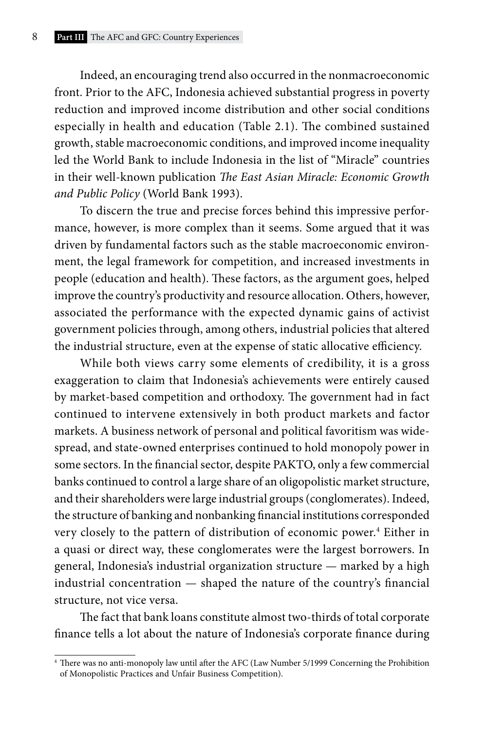Indeed, an encouraging trend also occurred in the nonmacroeconomic front. Prior to the AFC, Indonesia achieved substantial progress in poverty reduction and improved income distribution and other social conditions especially in health and education (Table 2.1). The combined sustained growth, stable macroeconomic conditions, and improved income inequality led the World Bank to include Indonesia in the list of "Miracle" countries in their well-known publication *The East Asian Miracle: Economic Growth and Public Policy* (World Bank 1993).

To discern the true and precise forces behind this impressive performance, however, is more complex than it seems. Some argued that it was driven by fundamental factors such as the stable macroeconomic environment, the legal framework for competition, and increased investments in people (education and health). These factors, as the argument goes, helped improve the country's productivity and resource allocation. Others, however, associated the performance with the expected dynamic gains of activist government policies through, among others, industrial policies that altered the industrial structure, even at the expense of static allocative efficiency.

While both views carry some elements of credibility, it is a gross exaggeration to claim that Indonesia's achievements were entirely caused by market-based competition and orthodoxy. The government had in fact continued to intervene extensively in both product markets and factor markets. A business network of personal and political favoritism was widespread, and state-owned enterprises continued to hold monopoly power in some sectors. In the financial sector, despite PAKTO, only a few commercial banks continued to control a large share of an oligopolistic market structure, and their shareholders were large industrial groups (conglomerates). Indeed, the structure of banking and nonbanking financial institutions corresponded very closely to the pattern of distribution of economic power.<sup>4</sup> Either in a quasi or direct way, these conglomerates were the largest borrowers. In general, Indonesia's industrial organization structure — marked by a high industrial concentration — shaped the nature of the country's financial structure, not vice versa.

The fact that bank loans constitute almost two-thirds of total corporate finance tells a lot about the nature of Indonesia's corporate finance during

<sup>4</sup> There was no anti-monopoly law until after the AFC (Law Number 5/1999 Concerning the Prohibition of Monopolistic Practices and Unfair Business Competition).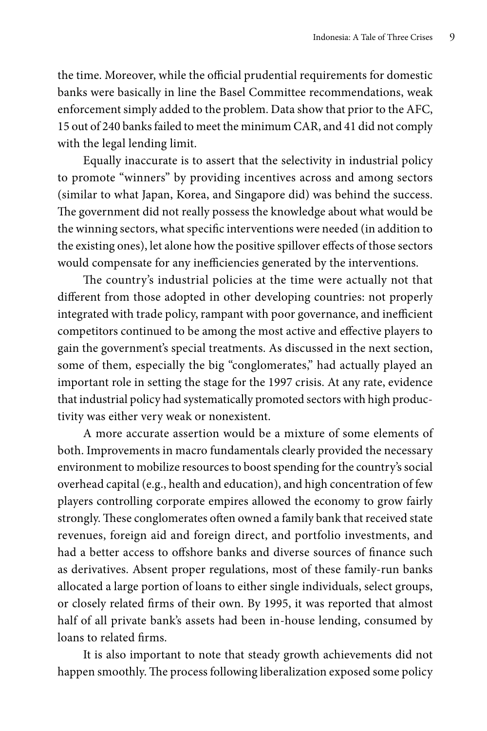the time. Moreover, while the official prudential requirements for domestic banks were basically in line the Basel Committee recommendations, weak enforcement simply added to the problem. Data show that prior to the AFC, 15 out of 240 banks failed to meet the minimum CAR, and 41 did not comply with the legal lending limit.

Equally inaccurate is to assert that the selectivity in industrial policy to promote "winners" by providing incentives across and among sectors (similar to what Japan, Korea, and Singapore did) was behind the success. The government did not really possess the knowledge about what would be the winning sectors, what specific interventions were needed (in addition to the existing ones), let alone how the positive spillover effects of those sectors would compensate for any inefficiencies generated by the interventions.

The country's industrial policies at the time were actually not that different from those adopted in other developing countries: not properly integrated with trade policy, rampant with poor governance, and inefficient competitors continued to be among the most active and effective players to gain the government's special treatments. As discussed in the next section, some of them, especially the big "conglomerates," had actually played an important role in setting the stage for the 1997 crisis. At any rate, evidence that industrial policy had systematically promoted sectors with high productivity was either very weak or nonexistent.

A more accurate assertion would be a mixture of some elements of both. Improvements in macro fundamentals clearly provided the necessary environment to mobilize resources to boost spending for the country's social overhead capital (e.g., health and education), and high concentration of few players controlling corporate empires allowed the economy to grow fairly strongly. These conglomerates often owned a family bank that received state revenues, foreign aid and foreign direct, and portfolio investments, and had a better access to offshore banks and diverse sources of finance such as derivatives. Absent proper regulations, most of these family-run banks allocated a large portion of loans to either single individuals, select groups, or closely related firms of their own. By 1995, it was reported that almost half of all private bank's assets had been in-house lending, consumed by loans to related firms.

It is also important to note that steady growth achievements did not happen smoothly. The process following liberalization exposed some policy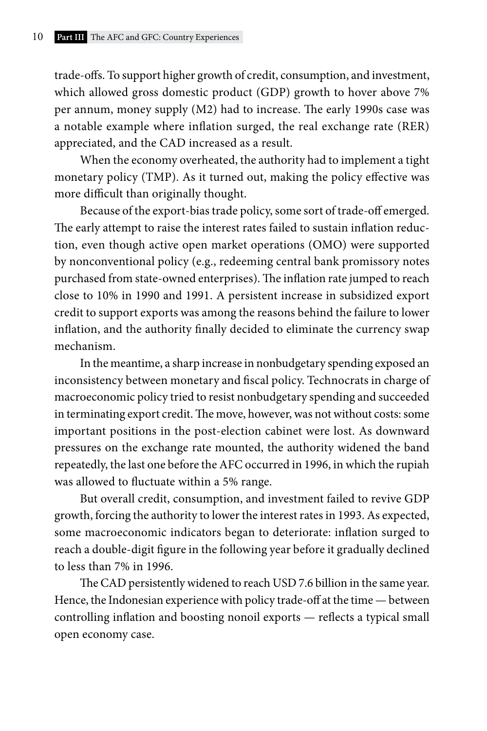trade-offs. To support higher growth of credit, consumption, and investment, which allowed gross domestic product (GDP) growth to hover above 7% per annum, money supply (M2) had to increase. The early 1990s case was a notable example where inflation surged, the real exchange rate (RER) appreciated, and the CAD increased as a result.

When the economy overheated, the authority had to implement a tight monetary policy (TMP). As it turned out, making the policy effective was more difficult than originally thought.

Because of the export-bias trade policy, some sort of trade-off emerged. The early attempt to raise the interest rates failed to sustain inflation reduction, even though active open market operations (OMO) were supported by nonconventional policy (e.g., redeeming central bank promissory notes purchased from state-owned enterprises). The inflation rate jumped to reach close to 10% in 1990 and 1991. A persistent increase in subsidized export credit to support exports was among the reasons behind the failure to lower inflation, and the authority finally decided to eliminate the currency swap mechanism.

In the meantime, a sharp increase in nonbudgetary spending exposed an inconsistency between monetary and fiscal policy. Technocrats in charge of macroeconomic policy tried to resist nonbudgetary spending and succeeded in terminating export credit. The move, however, was not without costs: some important positions in the post-election cabinet were lost. As downward pressures on the exchange rate mounted, the authority widened the band repeatedly, the last one before the AFC occurred in 1996, in which the rupiah was allowed to fluctuate within a 5% range.

But overall credit, consumption, and investment failed to revive GDP growth, forcing the authority to lower the interest rates in 1993. As expected, some macroeconomic indicators began to deteriorate: inflation surged to reach a double-digit figure in the following year before it gradually declined to less than 7% in 1996.

The CAD persistently widened to reach USD 7.6 billion in the same year. Hence, the Indonesian experience with policy trade-off at the time — between controlling inflation and boosting nonoil exports — reflects a typical small open economy case.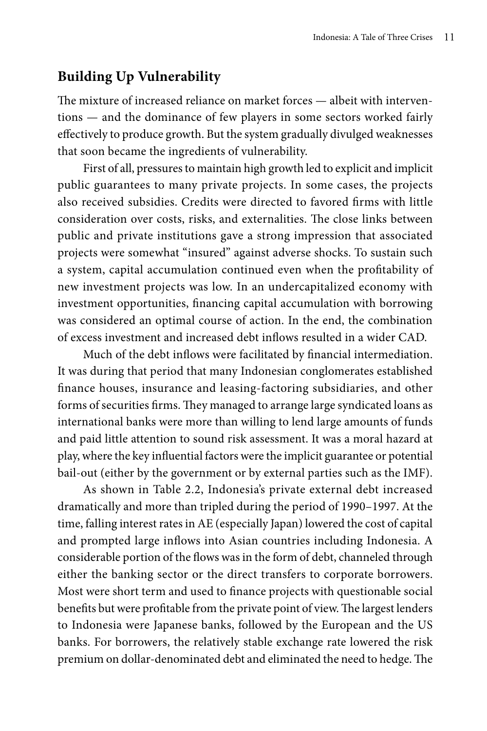# **Building Up Vulnerability**

The mixture of increased reliance on market forces — albeit with interventions — and the dominance of few players in some sectors worked fairly effectively to produce growth. But the system gradually divulged weaknesses that soon became the ingredients of vulnerability.

First of all, pressures to maintain high growth led to explicit and implicit public guarantees to many private projects. In some cases, the projects also received subsidies. Credits were directed to favored firms with little consideration over costs, risks, and externalities. The close links between public and private institutions gave a strong impression that associated projects were somewhat "insured" against adverse shocks. To sustain such a system, capital accumulation continued even when the profitability of new investment projects was low. In an undercapitalized economy with investment opportunities, financing capital accumulation with borrowing was considered an optimal course of action. In the end, the combination of excess investment and increased debt inflows resulted in a wider CAD.

Much of the debt inflows were facilitated by financial intermediation. It was during that period that many Indonesian conglomerates established finance houses, insurance and leasing-factoring subsidiaries, and other forms of securities firms. They managed to arrange large syndicated loans as international banks were more than willing to lend large amounts of funds and paid little attention to sound risk assessment. It was a moral hazard at play, where the key influential factors were the implicit guarantee or potential bail-out (either by the government or by external parties such as the IMF).

As shown in Table 2.2, Indonesia's private external debt increased dramatically and more than tripled during the period of 1990–1997. At the time, falling interest rates in AE (especially Japan) lowered the cost of capital and prompted large inflows into Asian countries including Indonesia. A considerable portion of the flows was in the form of debt, channeled through either the banking sector or the direct transfers to corporate borrowers. Most were short term and used to finance projects with questionable social benefits but were profitable from the private point of view. The largest lenders to Indonesia were Japanese banks, followed by the European and the US banks. For borrowers, the relatively stable exchange rate lowered the risk premium on dollar-denominated debt and eliminated the need to hedge. The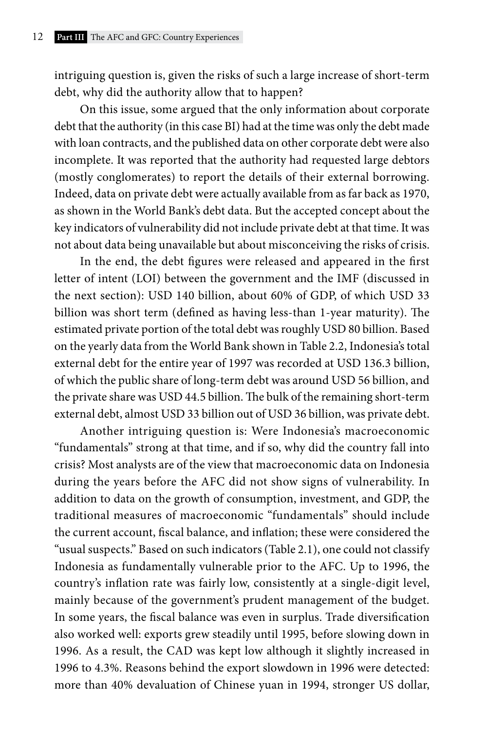intriguing question is, given the risks of such a large increase of short-term debt, why did the authority allow that to happen?

On this issue, some argued that the only information about corporate debt that the authority (in this case BI) had at the time was only the debt made with loan contracts, and the published data on other corporate debt were also incomplete. It was reported that the authority had requested large debtors (mostly conglomerates) to report the details of their external borrowing. Indeed, data on private debt were actually available from as far back as 1970, as shown in the World Bank's debt data. But the accepted concept about the key indicators of vulnerability did not include private debt at that time. It was not about data being unavailable but about misconceiving the risks of crisis.

In the end, the debt figures were released and appeared in the first letter of intent (LOI) between the government and the IMF (discussed in the next section): USD 140 billion, about 60% of GDP, of which USD 33 billion was short term (defined as having less-than 1-year maturity). The estimated private portion of the total debt was roughly USD 80 billion. Based on the yearly data from the World Bank shown in Table 2.2, Indonesia's total external debt for the entire year of 1997 was recorded at USD 136.3 billion, of which the public share of long-term debt was around USD 56 billion, and the private share was USD 44.5 billion. The bulk of the remaining short-term external debt, almost USD 33 billion out of USD 36 billion, was private debt.

Another intriguing question is: Were Indonesia's macroeconomic "fundamentals" strong at that time, and if so, why did the country fall into crisis? Most analysts are of the view that macroeconomic data on Indonesia during the years before the AFC did not show signs of vulnerability. In addition to data on the growth of consumption, investment, and GDP, the traditional measures of macroeconomic "fundamentals" should include the current account, fiscal balance, and inflation; these were considered the "usual suspects." Based on such indicators (Table 2.1), one could not classify Indonesia as fundamentally vulnerable prior to the AFC. Up to 1996, the country's inflation rate was fairly low, consistently at a single-digit level, mainly because of the government's prudent management of the budget. In some years, the fiscal balance was even in surplus. Trade diversification also worked well: exports grew steadily until 1995, before slowing down in 1996. As a result, the CAD was kept low although it slightly increased in 1996 to 4.3%. Reasons behind the export slowdown in 1996 were detected: more than 40% devaluation of Chinese yuan in 1994, stronger US dollar,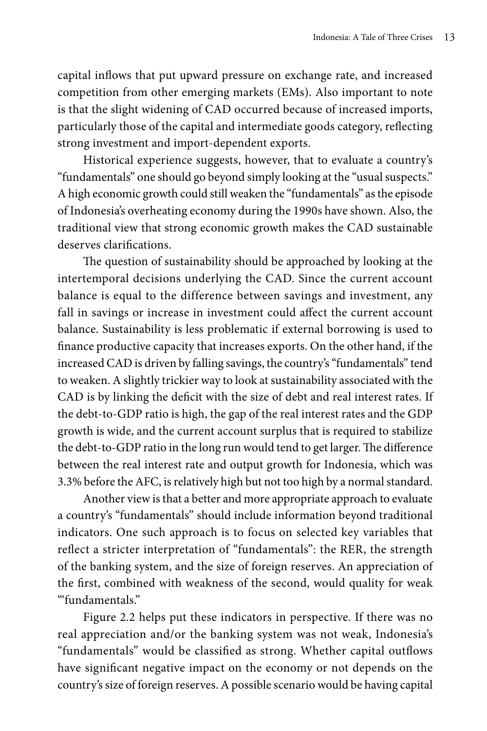capital inflows that put upward pressure on exchange rate, and increased competition from other emerging markets (EMs). Also important to note is that the slight widening of CAD occurred because of increased imports, particularly those of the capital and intermediate goods category, reflecting strong investment and import-dependent exports.

Historical experience suggests, however, that to evaluate a country's "fundamentals" one should go beyond simply looking at the "usual suspects." A high economic growth could still weaken the "fundamentals" as the episode of Indonesia's overheating economy during the 1990s have shown. Also, the traditional view that strong economic growth makes the CAD sustainable deserves clarifications.

The question of sustainability should be approached by looking at the intertemporal decisions underlying the CAD. Since the current account balance is equal to the difference between savings and investment, any fall in savings or increase in investment could affect the current account balance. Sustainability is less problematic if external borrowing is used to finance productive capacity that increases exports. On the other hand, if the increased CAD is driven by falling savings, the country's "fundamentals" tend to weaken. A slightly trickier way to look at sustainability associated with the CAD is by linking the deficit with the size of debt and real interest rates. If the debt-to-GDP ratio is high, the gap of the real interest rates and the GDP growth is wide, and the current account surplus that is required to stabilize the debt-to-GDP ratio in the long run would tend to get larger. The difference between the real interest rate and output growth for Indonesia, which was 3.3% before the AFC, is relatively high but not too high by a normal standard.

Another view is that a better and more appropriate approach to evaluate a country's "fundamentals" should include information beyond traditional indicators. One such approach is to focus on selected key variables that reflect a stricter interpretation of "fundamentals": the RER, the strength of the banking system, and the size of foreign reserves. An appreciation of the first, combined with weakness of the second, would quality for weak "'fundamentals."

Figure 2.2 helps put these indicators in perspective. If there was no real appreciation and/or the banking system was not weak, Indonesia's "fundamentals" would be classified as strong. Whether capital outflows have significant negative impact on the economy or not depends on the country's size of foreign reserves. A possible scenario would be having capital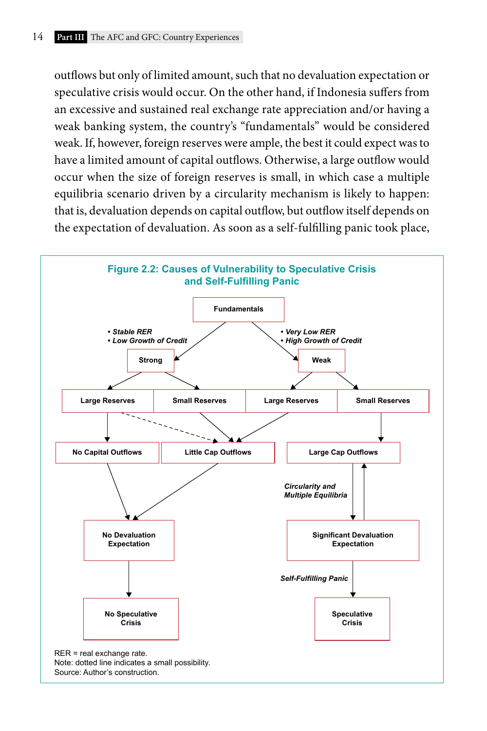outflows but only of limited amount, such that no devaluation expectation or speculative crisis would occur. On the other hand, if Indonesia suffers from an excessive and sustained real exchange rate appreciation and/or having a weak banking system, the country's "fundamentals" would be considered weak. If, however, foreign reserves were ample, the best it could expect was to have a limited amount of capital outflows. Otherwise, a large outflow would occur when the size of foreign reserves is small, in which case a multiple equilibria scenario driven by a circularity mechanism is likely to happen: that is, devaluation depends on capital outflow, but outflow itself depends on the expectation of devaluation. As soon as a self-fulfilling panic took place,

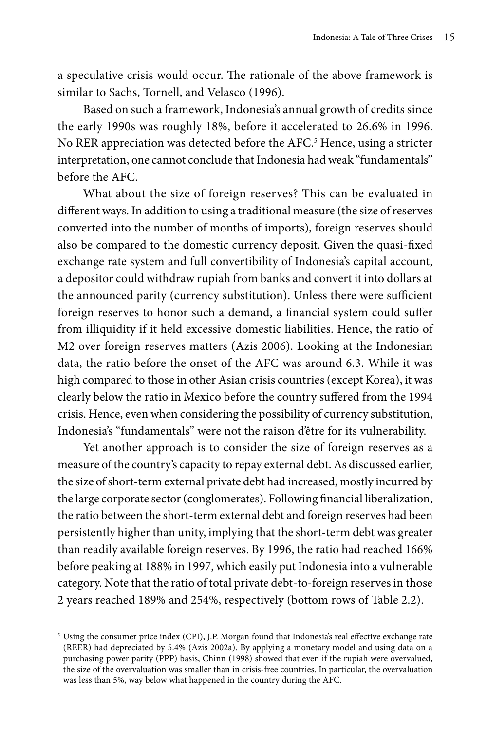a speculative crisis would occur. The rationale of the above framework is similar to Sachs, Tornell, and Velasco (1996).

Based on such a framework, Indonesia's annual growth of credits since the early 1990s was roughly 18%, before it accelerated to 26.6% in 1996. No RER appreciation was detected before the AFC.<sup>5</sup> Hence, using a stricter interpretation, one cannot conclude that Indonesia had weak "fundamentals" before the AFC.

What about the size of foreign reserves? This can be evaluated in different ways. In addition to using a traditional measure (the size of reserves converted into the number of months of imports), foreign reserves should also be compared to the domestic currency deposit. Given the quasi-fixed exchange rate system and full convertibility of Indonesia's capital account, a depositor could withdraw rupiah from banks and convert it into dollars at the announced parity (currency substitution). Unless there were sufficient foreign reserves to honor such a demand, a financial system could suffer from illiquidity if it held excessive domestic liabilities. Hence, the ratio of M2 over foreign reserves matters (Azis 2006). Looking at the Indonesian data, the ratio before the onset of the AFC was around 6.3. While it was high compared to those in other Asian crisis countries (except Korea), it was clearly below the ratio in Mexico before the country suffered from the 1994 crisis. Hence, even when considering the possibility of currency substitution, Indonesia's "fundamentals" were not the raison d'être for its vulnerability.

Yet another approach is to consider the size of foreign reserves as a measure of the country's capacity to repay external debt. As discussed earlier, the size of short-term external private debt had increased, mostly incurred by the large corporate sector (conglomerates). Following financial liberalization, the ratio between the short-term external debt and foreign reserves had been persistently higher than unity, implying that the short-term debt was greater than readily available foreign reserves. By 1996, the ratio had reached 166% before peaking at 188% in 1997, which easily put Indonesia into a vulnerable category. Note that the ratio of total private debt-to-foreign reserves in those 2 years reached 189% and 254%, respectively (bottom rows of Table 2.2).

<sup>5</sup> Using the consumer price index (CPI), J.P. Morgan found that Indonesia's real effective exchange rate (REER) had depreciated by 5.4% (Azis 2002a). By applying a monetary model and using data on a purchasing power parity (PPP) basis, Chinn (1998) showed that even if the rupiah were overvalued, the size of the overvaluation was smaller than in crisis-free countries. In particular, the overvaluation was less than 5%, way below what happened in the country during the AFC.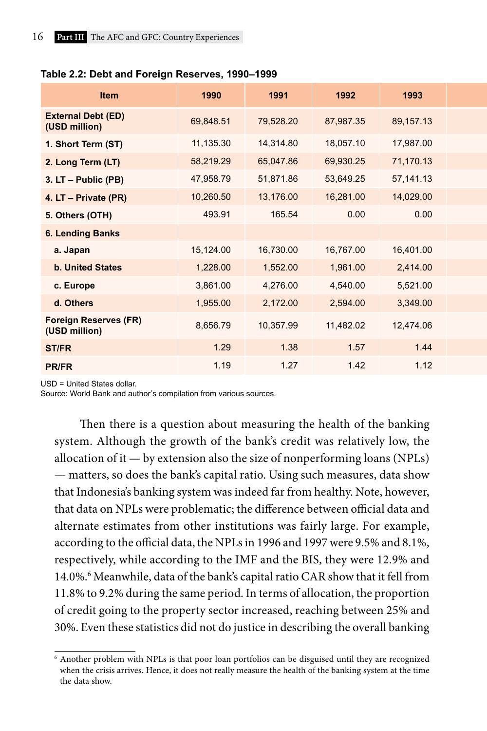| Item                                          | 1990      | 1991      | 1992      | 1993      |  |
|-----------------------------------------------|-----------|-----------|-----------|-----------|--|
| <b>External Debt (ED)</b><br>(USD million)    | 69,848.51 | 79,528.20 | 87,987.35 | 89,157.13 |  |
| 1. Short Term (ST)                            | 11,135.30 | 14,314.80 | 18,057.10 | 17,987.00 |  |
| 2. Long Term (LT)                             | 58,219.29 | 65,047.86 | 69,930.25 | 71,170.13 |  |
| $3. LT - Public (PB)$                         | 47,958.79 | 51,871.86 | 53,649.25 | 57,141.13 |  |
| 4. LT - Private (PR)                          | 10,260.50 | 13,176.00 | 16,281.00 | 14,029.00 |  |
| 5. Others (OTH)                               | 493.91    | 165.54    | 0.00      | 0.00      |  |
| 6. Lending Banks                              |           |           |           |           |  |
| a. Japan                                      | 15,124.00 | 16,730.00 | 16,767.00 | 16,401.00 |  |
| <b>b. United States</b>                       | 1,228.00  | 1,552.00  | 1,961.00  | 2,414.00  |  |
| c. Europe                                     | 3,861.00  | 4,276.00  | 4,540.00  | 5,521.00  |  |
| d. Others                                     | 1,955.00  | 2,172.00  | 2,594.00  | 3,349.00  |  |
| <b>Foreign Reserves (FR)</b><br>(USD million) | 8,656.79  | 10,357.99 | 11,482.02 | 12,474.06 |  |
| ST/FR                                         | 1.29      | 1.38      | 1.57      | 1.44      |  |
| <b>PR/FR</b>                                  | 1.19      | 1.27      | 1.42      | 1.12      |  |

#### **Table 2.2: Debt and Foreign Reserves, 1990–1999**

USD = United States dollar.

Source: World Bank and author's compilation from various sources.

Then there is a question about measuring the health of the banking system. Although the growth of the bank's credit was relatively low, the allocation of it  $-$  by extension also the size of nonperforming loans (NPLs) — matters, so does the bank's capital ratio. Using such measures, data show that Indonesia's banking system was indeed far from healthy. Note, however, that data on NPLs were problematic; the difference between official data and alternate estimates from other institutions was fairly large. For example, according to the official data, the NPLs in 1996 and 1997 were 9.5% and 8.1%, respectively, while according to the IMF and the BIS, they were 12.9% and 14.0%.<sup>6</sup> Meanwhile, data of the bank's capital ratio CAR show that it fell from 11.8% to 9.2% during the same period. In terms of allocation, the proportion of credit going to the property sector increased, reaching between 25% and 30%. Even these statistics did not do justice in describing the overall banking

<sup>6</sup> Another problem with NPLs is that poor loan portfolios can be disguised until they are recognized when the crisis arrives. Hence, it does not really measure the health of the banking system at the time the data show.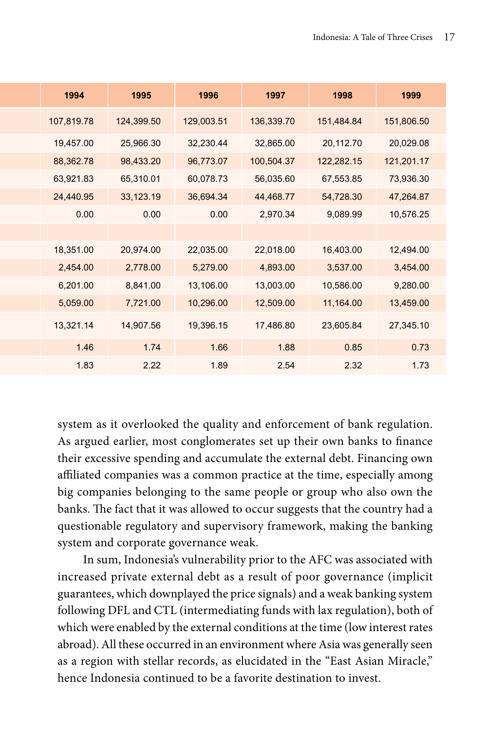| 1994       | 1995       | 1996       | 1997       | 1998       | 1999       |
|------------|------------|------------|------------|------------|------------|
| 107,819.78 | 124,399.50 | 129,003.51 | 136,339.70 | 151,484.84 | 151,806.50 |
| 19,457.00  | 25,966.30  | 32,230.44  | 32,865.00  | 20,112.70  | 20,029.08  |
| 88,362.78  | 98,433.20  | 96,773.07  | 100,504.37 | 122,282.15 | 121,201.17 |
| 63,921.83  | 65,310.01  | 60,078.73  | 56,035.60  | 67,553.85  | 73,936.30  |
| 24,440.95  | 33,123.19  | 36,694.34  | 44,468.77  | 54,728.30  | 47,264.87  |
| 0.00       | 0.00       | 0.00       | 2,970.34   | 9,089.99   | 10,576.25  |
|            |            |            |            |            |            |
| 18,351.00  | 20,974.00  | 22,035.00  | 22,018.00  | 16,403.00  | 12,494.00  |
| 2,454.00   | 2,778.00   | 5,279.00   | 4,893.00   | 3,537.00   | 3,454.00   |
| 6,201.00   | 8,841.00   | 13,106.00  | 13,003.00  | 10,586.00  | 9,280.00   |
| 5,059.00   | 7,721.00   | 10,296.00  | 12,509.00  | 11,164.00  | 13,459.00  |
| 13,321.14  | 14,907.56  | 19,396.15  | 17,486.80  | 23,605.84  | 27,345.10  |
| 1.46       | 1.74       | 1.66       | 1.88       | 0.85       | 0.73       |
| 1.83       | 2.22       | 1.89       | 2.54       | 2.32       | 1.73       |

system as it overlooked the quality and enforcement of bank regulation. As argued earlier, most conglomerates set up their own banks to finance their excessive spending and accumulate the external debt. Financing own affiliated companies was a common practice at the time, especially among big companies belonging to the same people or group who also own the banks. The fact that it was allowed to occur suggests that the country had a questionable regulatory and supervisory framework, making the banking system and corporate governance weak.

In sum, Indonesia's vulnerability prior to the AFC was associated with increased private external debt as a result of poor governance (implicit guarantees, which downplayed the price signals) and a weak banking system following DFL and CTL (intermediating funds with lax regulation), both of which were enabled by the external conditions at the time (low interest rates abroad). All these occurred in an environment where Asia was generally seen as a region with stellar records, as elucidated in the "East Asian Miracle," hence Indonesia continued to be a favorite destination to invest.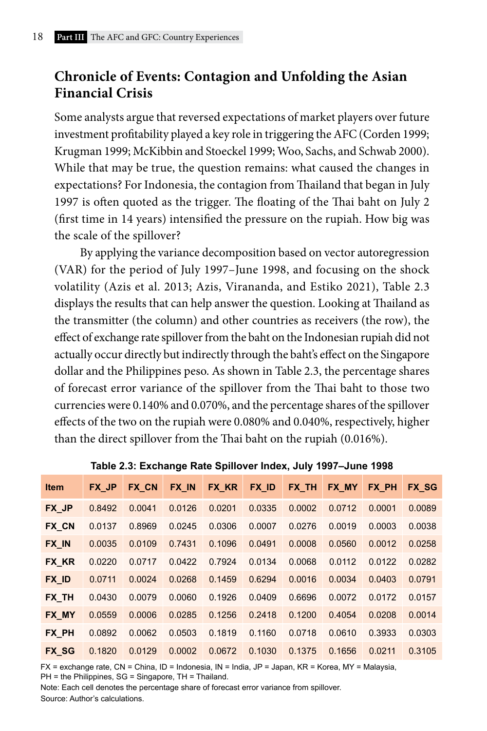# **Chronicle of Events: Contagion and Unfolding the Asian Financial Crisis**

Some analysts argue that reversed expectations of market players over future investment profitability played a key role in triggering the AFC (Corden 1999; Krugman 1999; McKibbin and Stoeckel 1999; Woo, Sachs, and Schwab 2000). While that may be true, the question remains: what caused the changes in expectations? For Indonesia, the contagion from Thailand that began in July 1997 is often quoted as the trigger. The floating of the Thai baht on July 2 (first time in 14 years) intensified the pressure on the rupiah. How big was the scale of the spillover?

By applying the variance decomposition based on vector autoregression (VAR) for the period of July 1997–June 1998, and focusing on the shock volatility (Azis et al. 2013; Azis, Virananda, and Estiko 2021), Table 2.3 displays the results that can help answer the question. Looking at Thailand as the transmitter (the column) and other countries as receivers (the row), the effect of exchange rate spillover from the baht on the Indonesian rupiah did not actually occur directly but indirectly through the baht's effect on the Singapore dollar and the Philippines peso. As shown in Table 2.3, the percentage shares of forecast error variance of the spillover from the Thai baht to those two currencies were 0.140% and 0.070%, and the percentage shares of the spillover effects of the two on the rupiah were 0.080% and 0.040%, respectively, higher than the direct spillover from the Thai baht on the rupiah (0.016%).

| <b>Item</b>  | FX JP  | <b>FX CN</b> | <b>FX IN</b> | FX KR  | <b>FX ID</b> | <b>FX TH</b> | <b>FX MY</b> | <b>FX PH</b> | <b>FX SG</b> |
|--------------|--------|--------------|--------------|--------|--------------|--------------|--------------|--------------|--------------|
| FX JP        | 0.8492 | 0.0041       | 0.0126       | 0.0201 | 0.0335       | 0.0002       | 0.0712       | 0.0001       | 0.0089       |
| <b>FX CN</b> | 0.0137 | 0.8969       | 0.0245       | 0.0306 | 0.0007       | 0.0276       | 0.0019       | 0.0003       | 0.0038       |
| FX IN        | 0.0035 | 0.0109       | 0.7431       | 0.1096 | 0.0491       | 0.0008       | 0.0560       | 0.0012       | 0.0258       |
| FX KR        | 0.0220 | 0.0717       | 0.0422       | 0.7924 | 0.0134       | 0.0068       | 0.0112       | 0.0122       | 0.0282       |
| FX ID        | 0.0711 | 0.0024       | 0.0268       | 0.1459 | 0.6294       | 0.0016       | 0.0034       | 0.0403       | 0.0791       |
| FX TH        | 0.0430 | 0.0079       | 0.0060       | 0.1926 | 0.0409       | 0.6696       | 0.0072       | 0.0172       | 0.0157       |
| FX MY        | 0.0559 | 0.0006       | 0.0285       | 0.1256 | 0.2418       | 0.1200       | 0.4054       | 0.0208       | 0.0014       |
| FX PH        | 0.0892 | 0.0062       | 0.0503       | 0.1819 | 0.1160       | 0.0718       | 0.0610       | 0.3933       | 0.0303       |
| <b>FX SG</b> | 0.1820 | 0.0129       | 0.0002       | 0.0672 | 0.1030       | 0.1375       | 0.1656       | 0.0211       | 0.3105       |

**Table 2.3: Exchange Rate Spillover Index, July 1997–June 1998**

FX = exchange rate, CN = China, ID = Indonesia, IN = India, JP = Japan, KR = Korea, MY = Malaysia, PH = the Philippines, SG = Singapore, TH = Thailand.

Note: Each cell denotes the percentage share of forecast error variance from spillover. Source: Author's calculations.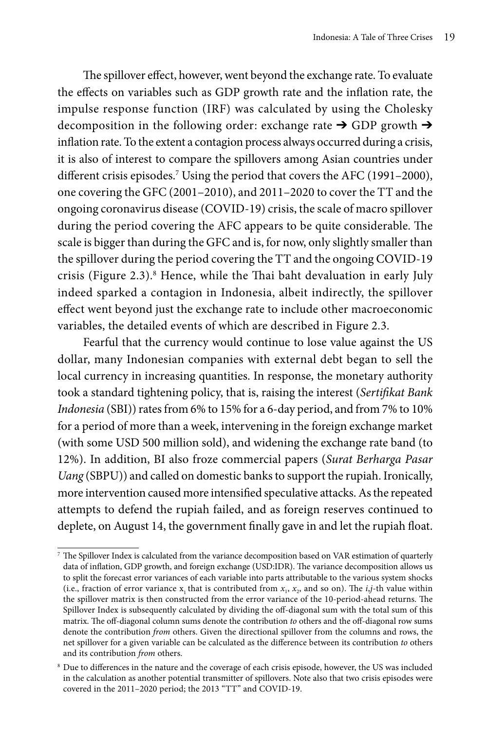The spillover effect, however, went beyond the exchange rate. To evaluate the effects on variables such as GDP growth rate and the inflation rate, the impulse response function (IRF) was calculated by using the Cholesky decomposition in the following order: exchange rate  $\rightarrow$  GDP growth  $\rightarrow$ inflation rate. To the extent a contagion process always occurred during a crisis, it is also of interest to compare the spillovers among Asian countries under different crisis episodes.7 Using the period that covers the AFC (1991–2000), one covering the GFC (2001–2010), and 2011–2020 to cover the TT and the ongoing coronavirus disease (COVID-19) crisis, the scale of macro spillover during the period covering the AFC appears to be quite considerable. The scale is bigger than during the GFC and is, for now, only slightly smaller than the spillover during the period covering the TT and the ongoing COVID-19 crisis (Figure 2.3).<sup>8</sup> Hence, while the Thai baht devaluation in early July indeed sparked a contagion in Indonesia, albeit indirectly, the spillover effect went beyond just the exchange rate to include other macroeconomic variables, the detailed events of which are described in Figure 2.3.

Fearful that the currency would continue to lose value against the US dollar, many Indonesian companies with external debt began to sell the local currency in increasing quantities. In response, the monetary authority took a standard tightening policy, that is, raising the interest (*Sertifikat Bank Indonesia* (SBI)) rates from 6% to 15% for a 6-day period, and from 7% to 10% for a period of more than a week, intervening in the foreign exchange market (with some USD 500 million sold), and widening the exchange rate band (to 12%). In addition, BI also froze commercial papers (*Surat Berharga Pasar Uang* (SBPU)) and called on domestic banks to support the rupiah. Ironically, more intervention caused more intensified speculative attacks. As the repeated attempts to defend the rupiah failed, and as foreign reserves continued to deplete, on August 14, the government finally gave in and let the rupiah float.

<sup>7</sup> The Spillover Index is calculated from the variance decomposition based on VAR estimation of quarterly data of inflation, GDP growth, and foreign exchange (USD:IDR). The variance decomposition allows us to split the forecast error variances of each variable into parts attributable to the various system shocks (i.e., fraction of error variance  $x_1$ , that is contributed from  $x_1$ ,  $x_2$ , and so on). The *i*,*j*-th value within the spillover matrix is then constructed from the error variance of the 10-period-ahead returns. The Spillover Index is subsequently calculated by dividing the off-diagonal sum with the total sum of this matrix. The off-diagonal column sums denote the contribution *to* others and the off-diagonal row sums denote the contribution *from* others. Given the directional spillover from the columns and rows, the net spillover for a given variable can be calculated as the difference between its contribution *to* others and its contribution *from* others.

<sup>8</sup> Due to differences in the nature and the coverage of each crisis episode, however, the US was included in the calculation as another potential transmitter of spillovers. Note also that two crisis episodes were covered in the 2011–2020 period; the 2013 "TT" and COVID-19.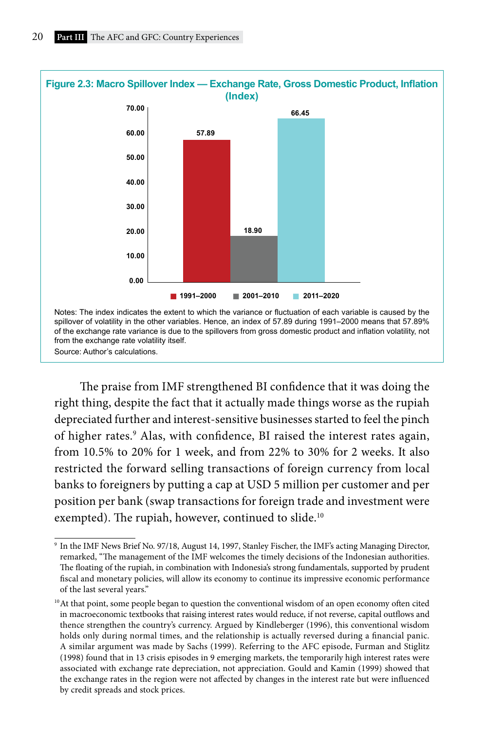

The praise from IMF strengthened BI confidence that it was doing the right thing, despite the fact that it actually made things worse as the rupiah depreciated further and interest-sensitive businesses started to feel the pinch of higher rates.<sup>9</sup> Alas, with confidence, BI raised the interest rates again, from 10.5% to 20% for 1 week, and from 22% to 30% for 2 weeks. It also restricted the forward selling transactions of foreign currency from local banks to foreigners by putting a cap at USD 5 million per customer and per position per bank (swap transactions for foreign trade and investment were exempted). The rupiah, however, continued to slide.<sup>10</sup>

<sup>9</sup> In the IMF News Brief No. 97/18, August 14, 1997, Stanley Fischer, the IMF's acting Managing Director, remarked, "The management of the IMF welcomes the timely decisions of the Indonesian authorities. The floating of the rupiah, in combination with Indonesia's strong fundamentals, supported by prudent fiscal and monetary policies, will allow its economy to continue its impressive economic performance of the last several years."

 $10$ At that point, some people began to question the conventional wisdom of an open economy often cited in macroeconomic textbooks that raising interest rates would reduce, if not reverse, capital outflows and thence strengthen the country's currency. Argued by Kindleberger (1996), this conventional wisdom holds only during normal times, and the relationship is actually reversed during a financial panic. A similar argument was made by Sachs (1999). Referring to the AFC episode, Furman and Stiglitz (1998) found that in 13 crisis episodes in 9 emerging markets, the temporarily high interest rates were associated with exchange rate depreciation, not appreciation. Gould and Kamin (1999) showed that the exchange rates in the region were not affected by changes in the interest rate but were influenced by credit spreads and stock prices.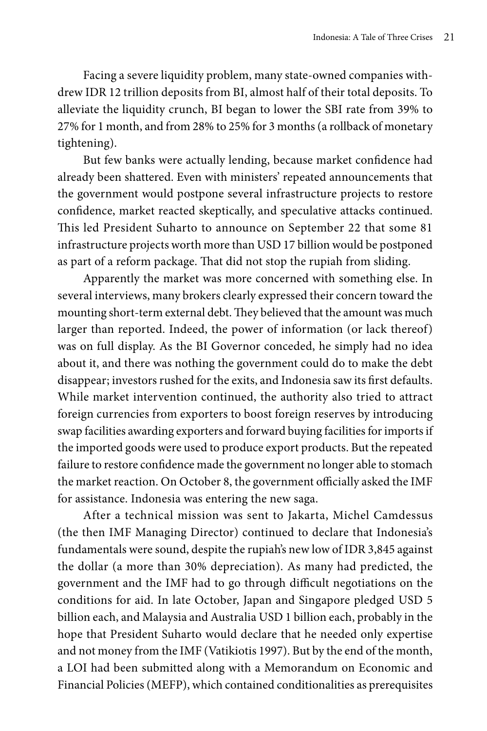Facing a severe liquidity problem, many state-owned companies withdrew IDR 12 trillion deposits from BI, almost half of their total deposits. To alleviate the liquidity crunch, BI began to lower the SBI rate from 39% to 27% for 1 month, and from 28% to 25% for 3 months (a rollback of monetary tightening).

But few banks were actually lending, because market confidence had already been shattered. Even with ministers' repeated announcements that the government would postpone several infrastructure projects to restore confidence, market reacted skeptically, and speculative attacks continued. This led President Suharto to announce on September 22 that some 81 infrastructure projects worth more than USD 17 billion would be postponed as part of a reform package. That did not stop the rupiah from sliding.

Apparently the market was more concerned with something else. In several interviews, many brokers clearly expressed their concern toward the mounting short-term external debt. They believed that the amount was much larger than reported. Indeed, the power of information (or lack thereof) was on full display. As the BI Governor conceded, he simply had no idea about it, and there was nothing the government could do to make the debt disappear; investors rushed for the exits, and Indonesia saw its first defaults. While market intervention continued, the authority also tried to attract foreign currencies from exporters to boost foreign reserves by introducing swap facilities awarding exporters and forward buying facilities for imports if the imported goods were used to produce export products. But the repeated failure to restore confidence made the government no longer able to stomach the market reaction. On October 8, the government officially asked the IMF for assistance. Indonesia was entering the new saga.

After a technical mission was sent to Jakarta, Michel Camdessus (the then IMF Managing Director) continued to declare that Indonesia's fundamentals were sound, despite the rupiah's new low of IDR 3,845 against the dollar (a more than 30% depreciation). As many had predicted, the government and the IMF had to go through difficult negotiations on the conditions for aid. In late October, Japan and Singapore pledged USD 5 billion each, and Malaysia and Australia USD 1 billion each, probably in the hope that President Suharto would declare that he needed only expertise and not money from the IMF (Vatikiotis 1997). But by the end of the month, a LOI had been submitted along with a Memorandum on Economic and Financial Policies (MEFP), which contained conditionalities as prerequisites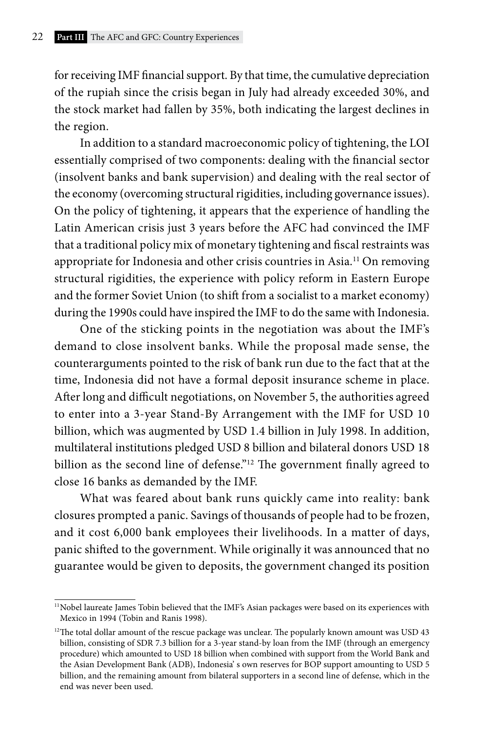for receiving IMF financial support. By that time, the cumulative depreciation of the rupiah since the crisis began in July had already exceeded 30%, and the stock market had fallen by 35%, both indicating the largest declines in the region.

In addition to a standard macroeconomic policy of tightening, the LOI essentially comprised of two components: dealing with the financial sector (insolvent banks and bank supervision) and dealing with the real sector of the economy (overcoming structural rigidities, including governance issues). On the policy of tightening, it appears that the experience of handling the Latin American crisis just 3 years before the AFC had convinced the IMF that a traditional policy mix of monetary tightening and fiscal restraints was appropriate for Indonesia and other crisis countries in Asia.11 On removing structural rigidities, the experience with policy reform in Eastern Europe and the former Soviet Union (to shift from a socialist to a market economy) during the 1990s could have inspired the IMF to do the same with Indonesia.

One of the sticking points in the negotiation was about the IMF's demand to close insolvent banks. While the proposal made sense, the counterarguments pointed to the risk of bank run due to the fact that at the time, Indonesia did not have a formal deposit insurance scheme in place. After long and difficult negotiations, on November 5, the authorities agreed to enter into a 3-year Stand-By Arrangement with the IMF for USD 10 billion, which was augmented by USD 1.4 billion in July 1998. In addition, multilateral institutions pledged USD 8 billion and bilateral donors USD 18 billion as the second line of defense."<sup>12</sup> The government finally agreed to close 16 banks as demanded by the IMF.

What was feared about bank runs quickly came into reality: bank closures prompted a panic. Savings of thousands of people had to be frozen, and it cost 6,000 bank employees their livelihoods. In a matter of days, panic shifted to the government. While originally it was announced that no guarantee would be given to deposits, the government changed its position

<sup>11</sup>Nobel laureate James Tobin believed that the IMF's Asian packages were based on its experiences with Mexico in 1994 (Tobin and Ranis 1998).

<sup>&</sup>lt;sup>12</sup>The total dollar amount of the rescue package was unclear. The popularly known amount was USD 43 billion, consisting of SDR 7.3 billion for a 3-year stand-by loan from the IMF (through an emergency procedure) which amounted to USD 18 billion when combined with support from the World Bank and the Asian Development Bank (ADB), Indonesia' s own reserves for BOP support amounting to USD 5 billion, and the remaining amount from bilateral supporters in a second line of defense, which in the end was never been used.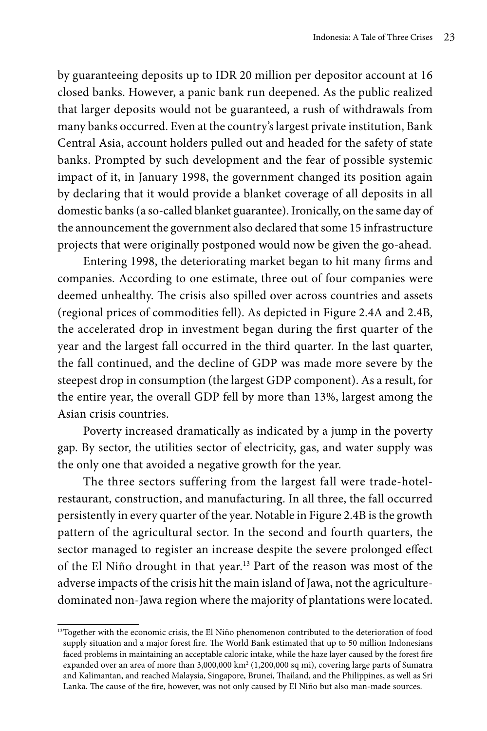by guaranteeing deposits up to IDR 20 million per depositor account at 16 closed banks. However, a panic bank run deepened. As the public realized that larger deposits would not be guaranteed, a rush of withdrawals from many banks occurred. Even at the country's largest private institution, Bank Central Asia, account holders pulled out and headed for the safety of state banks. Prompted by such development and the fear of possible systemic impact of it, in January 1998, the government changed its position again by declaring that it would provide a blanket coverage of all deposits in all domestic banks (a so-called blanket guarantee). Ironically, on the same day of the announcement the government also declared that some 15 infrastructure projects that were originally postponed would now be given the go-ahead.

Entering 1998, the deteriorating market began to hit many firms and companies. According to one estimate, three out of four companies were deemed unhealthy. The crisis also spilled over across countries and assets (regional prices of commodities fell). As depicted in Figure 2.4A and 2.4B, the accelerated drop in investment began during the first quarter of the year and the largest fall occurred in the third quarter. In the last quarter, the fall continued, and the decline of GDP was made more severe by the steepest drop in consumption (the largest GDP component). As a result, for the entire year, the overall GDP fell by more than 13%, largest among the Asian crisis countries.

Poverty increased dramatically as indicated by a jump in the poverty gap. By sector, the utilities sector of electricity, gas, and water supply was the only one that avoided a negative growth for the year.

The three sectors suffering from the largest fall were trade-hotelrestaurant, construction, and manufacturing. In all three, the fall occurred persistently in every quarter of the year. Notable in Figure 2.4B is the growth pattern of the agricultural sector. In the second and fourth quarters, the sector managed to register an increase despite the severe prolonged effect of the El Niño drought in that year.13 Part of the reason was most of the adverse impacts of the crisis hit the main island of Jawa, not the agriculturedominated non-Jawa region where the majority of plantations were located.

<sup>&</sup>lt;sup>13</sup>Together with the economic crisis, the El Niño phenomenon contributed to the deterioration of food supply situation and a major forest fire. The World Bank estimated that up to 50 million Indonesians faced problems in maintaining an acceptable caloric intake, while the haze layer caused by the forest fire expanded over an area of more than  $3,000,000 \text{ km}^2$  (1,200,000 sq mi), covering large parts of Sumatra and Kalimantan, and reached Malaysia, Singapore, Brunei, Thailand, and the Philippines, as well as Sri Lanka. The cause of the fire, however, was not only caused by El Niño but also man-made sources.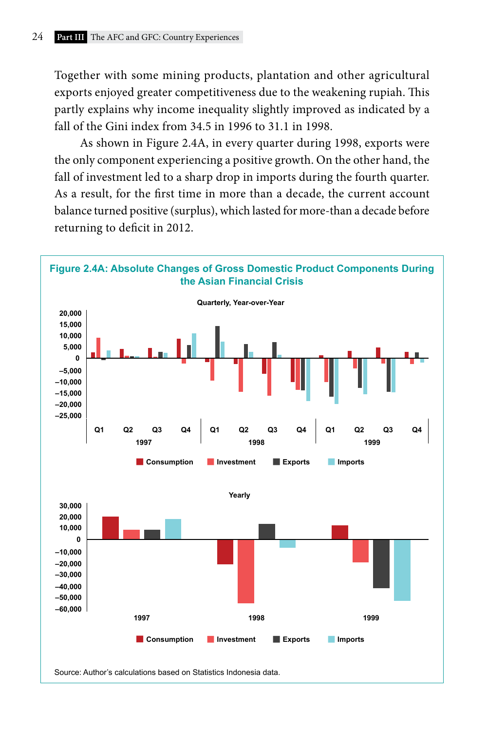Together with some mining products, plantation and other agricultural exports enjoyed greater competitiveness due to the weakening rupiah. This partly explains why income inequality slightly improved as indicated by a fall of the Gini index from 34.5 in 1996 to 31.1 in 1998.

As shown in Figure 2.4A, in every quarter during 1998, exports were the only component experiencing a positive growth. On the other hand, the fall of investment led to a sharp drop in imports during the fourth quarter. As a result, for the first time in more than a decade, the current account balance turned positive (surplus), which lasted for more-than a decade before returning to deficit in 2012.

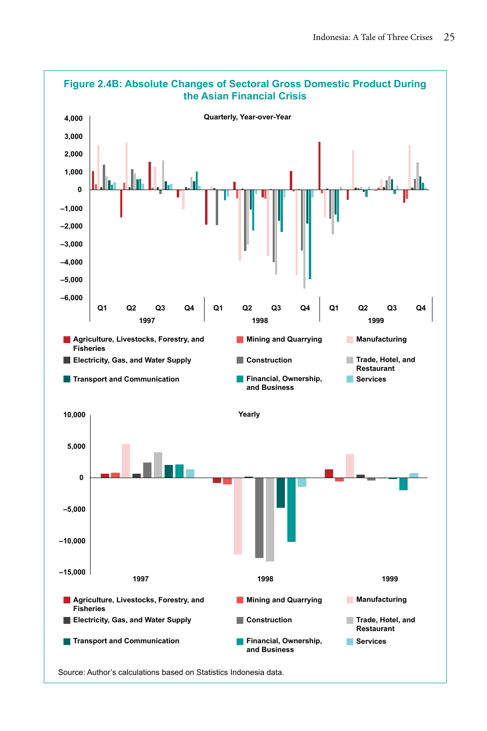

Source: Author's calculations based on Statistics Indonesia data.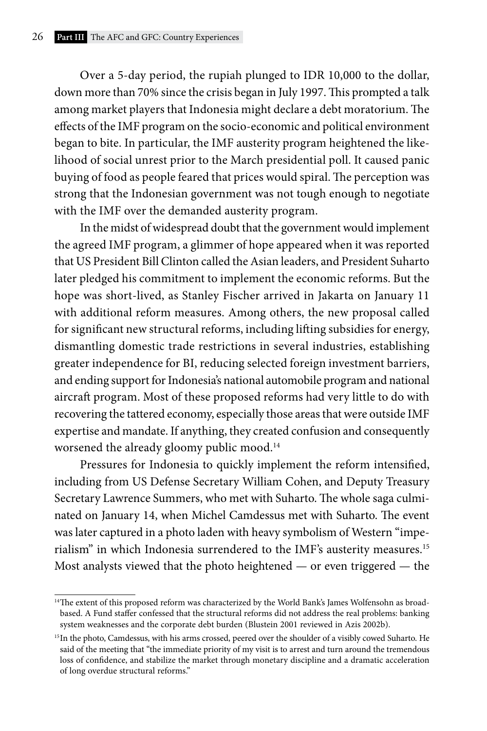Over a 5-day period, the rupiah plunged to IDR 10,000 to the dollar, down more than 70% since the crisis began in July 1997. This prompted a talk among market players that Indonesia might declare a debt moratorium. The effects of the IMF program on the socio-economic and political environment began to bite. In particular, the IMF austerity program heightened the likelihood of social unrest prior to the March presidential poll. It caused panic buying of food as people feared that prices would spiral. The perception was strong that the Indonesian government was not tough enough to negotiate with the IMF over the demanded austerity program.

In the midst of widespread doubt that the government would implement the agreed IMF program, a glimmer of hope appeared when it was reported that US President Bill Clinton called the Asian leaders, and President Suharto later pledged his commitment to implement the economic reforms. But the hope was short-lived, as Stanley Fischer arrived in Jakarta on January 11 with additional reform measures. Among others, the new proposal called for significant new structural reforms, including lifting subsidies for energy, dismantling domestic trade restrictions in several industries, establishing greater independence for BI, reducing selected foreign investment barriers, and ending support for Indonesia's national automobile program and national aircraft program. Most of these proposed reforms had very little to do with recovering the tattered economy, especially those areas that were outside IMF expertise and mandate. If anything, they created confusion and consequently worsened the already gloomy public mood.<sup>14</sup>

Pressures for Indonesia to quickly implement the reform intensified, including from US Defense Secretary William Cohen, and Deputy Treasury Secretary Lawrence Summers, who met with Suharto. The whole saga culminated on January 14, when Michel Camdessus met with Suharto. The event was later captured in a photo laden with heavy symbolism of Western "imperialism" in which Indonesia surrendered to the IMF's austerity measures.15 Most analysts viewed that the photo heightened — or even triggered — the

<sup>&</sup>lt;sup>14</sup>The extent of this proposed reform was characterized by the World Bank's James Wolfensohn as broadbased. A Fund staffer confessed that the structural reforms did not address the real problems: banking system weaknesses and the corporate debt burden (Blustein 2001 reviewed in Azis 2002b).

<sup>&</sup>lt;sup>15</sup>In the photo, Camdessus, with his arms crossed, peered over the shoulder of a visibly cowed Suharto. He said of the meeting that "the immediate priority of my visit is to arrest and turn around the tremendous loss of confidence, and stabilize the market through monetary discipline and a dramatic acceleration of long overdue structural reforms."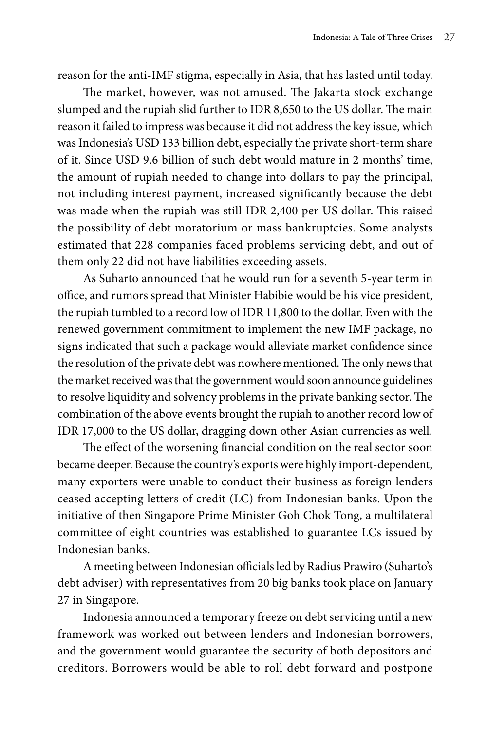reason for the anti-IMF stigma, especially in Asia, that has lasted until today.

The market, however, was not amused. The Jakarta stock exchange slumped and the rupiah slid further to IDR 8,650 to the US dollar. The main reason it failed to impress was because it did not address the key issue, which was Indonesia's USD 133 billion debt, especially the private short-term share of it. Since USD 9.6 billion of such debt would mature in 2 months' time, the amount of rupiah needed to change into dollars to pay the principal, not including interest payment, increased significantly because the debt was made when the rupiah was still IDR 2,400 per US dollar. This raised the possibility of debt moratorium or mass bankruptcies. Some analysts estimated that 228 companies faced problems servicing debt, and out of them only 22 did not have liabilities exceeding assets.

As Suharto announced that he would run for a seventh 5-year term in office, and rumors spread that Minister Habibie would be his vice president, the rupiah tumbled to a record low of IDR 11,800 to the dollar. Even with the renewed government commitment to implement the new IMF package, no signs indicated that such a package would alleviate market confidence since the resolution of the private debt was nowhere mentioned. The only news that the market received was that the government would soon announce guidelines to resolve liquidity and solvency problems in the private banking sector. The combination of the above events brought the rupiah to another record low of IDR 17,000 to the US dollar, dragging down other Asian currencies as well.

The effect of the worsening financial condition on the real sector soon became deeper. Because the country's exports were highly import-dependent, many exporters were unable to conduct their business as foreign lenders ceased accepting letters of credit (LC) from Indonesian banks. Upon the initiative of then Singapore Prime Minister Goh Chok Tong, a multilateral committee of eight countries was established to guarantee LCs issued by Indonesian banks.

A meeting between Indonesian officials led by Radius Prawiro (Suharto's debt adviser) with representatives from 20 big banks took place on January 27 in Singapore.

Indonesia announced a temporary freeze on debt servicing until a new framework was worked out between lenders and Indonesian borrowers, and the government would guarantee the security of both depositors and creditors. Borrowers would be able to roll debt forward and postpone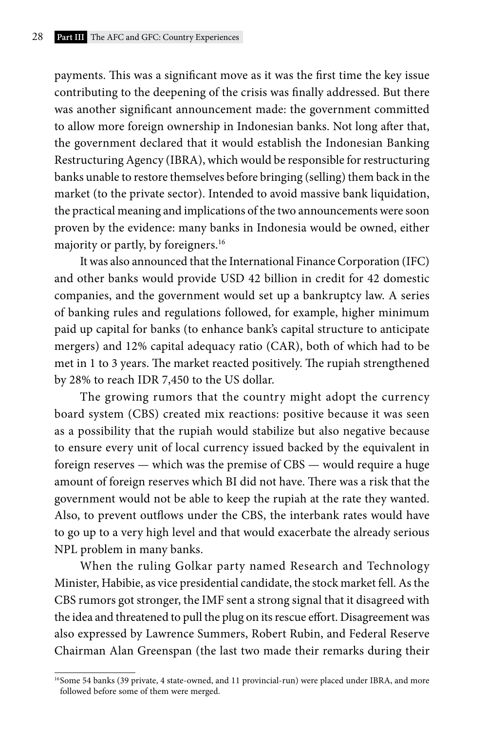payments. This was a significant move as it was the first time the key issue contributing to the deepening of the crisis was finally addressed. But there was another significant announcement made: the government committed to allow more foreign ownership in Indonesian banks. Not long after that, the government declared that it would establish the Indonesian Banking Restructuring Agency (IBRA), which would be responsible for restructuring banks unable to restore themselves before bringing (selling) them back in the market (to the private sector). Intended to avoid massive bank liquidation, the practical meaning and implications of the two announcements were soon proven by the evidence: many banks in Indonesia would be owned, either majority or partly, by foreigners.16

It was also announced that the International Finance Corporation (IFC) and other banks would provide USD 42 billion in credit for 42 domestic companies, and the government would set up a bankruptcy law. A series of banking rules and regulations followed, for example, higher minimum paid up capital for banks (to enhance bank's capital structure to anticipate mergers) and 12% capital adequacy ratio (CAR), both of which had to be met in 1 to 3 years. The market reacted positively. The rupiah strengthened by 28% to reach IDR 7,450 to the US dollar.

The growing rumors that the country might adopt the currency board system (CBS) created mix reactions: positive because it was seen as a possibility that the rupiah would stabilize but also negative because to ensure every unit of local currency issued backed by the equivalent in foreign reserves — which was the premise of CBS — would require a huge amount of foreign reserves which BI did not have. There was a risk that the government would not be able to keep the rupiah at the rate they wanted. Also, to prevent outflows under the CBS, the interbank rates would have to go up to a very high level and that would exacerbate the already serious NPL problem in many banks.

When the ruling Golkar party named Research and Technology Minister, Habibie, as vice presidential candidate, the stock market fell. As the CBS rumors got stronger, the IMF sent a strong signal that it disagreed with the idea and threatened to pull the plug on its rescue effort. Disagreement was also expressed by Lawrence Summers, Robert Rubin, and Federal Reserve Chairman Alan Greenspan (the last two made their remarks during their

<sup>&</sup>lt;sup>16</sup>Some 54 banks (39 private, 4 state-owned, and 11 provincial-run) were placed under IBRA, and more followed before some of them were merged.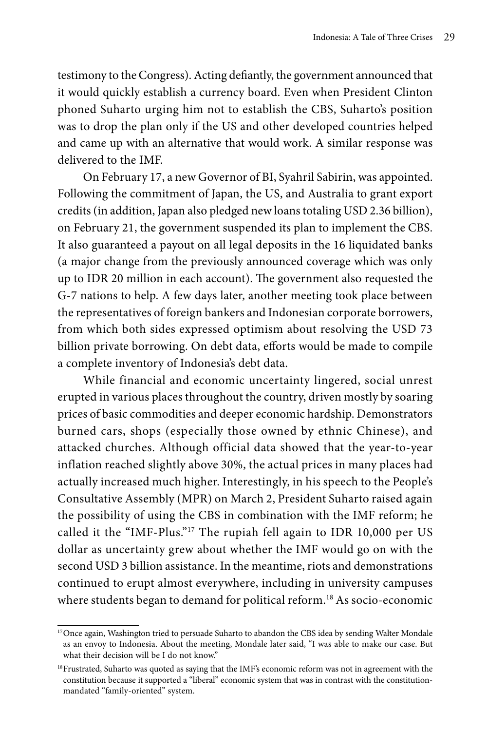testimony to the Congress). Acting defiantly, the government announced that it would quickly establish a currency board. Even when President Clinton phoned Suharto urging him not to establish the CBS, Suharto's position was to drop the plan only if the US and other developed countries helped and came up with an alternative that would work. A similar response was delivered to the IMF.

On February 17, a new Governor of BI, Syahril Sabirin, was appointed. Following the commitment of Japan, the US, and Australia to grant export credits (in addition, Japan also pledged new loans totaling USD 2.36 billion), on February 21, the government suspended its plan to implement the CBS. It also guaranteed a payout on all legal deposits in the 16 liquidated banks (a major change from the previously announced coverage which was only up to IDR 20 million in each account). The government also requested the G-7 nations to help. A few days later, another meeting took place between the representatives of foreign bankers and Indonesian corporate borrowers, from which both sides expressed optimism about resolving the USD 73 billion private borrowing. On debt data, efforts would be made to compile a complete inventory of Indonesia's debt data.

While financial and economic uncertainty lingered, social unrest erupted in various places throughout the country, driven mostly by soaring prices of basic commodities and deeper economic hardship. Demonstrators burned cars, shops (especially those owned by ethnic Chinese), and attacked churches. Although official data showed that the year-to-year inflation reached slightly above 30%, the actual prices in many places had actually increased much higher. Interestingly, in his speech to the People's Consultative Assembly (MPR) on March 2, President Suharto raised again the possibility of using the CBS in combination with the IMF reform; he called it the "IMF-Plus."17 The rupiah fell again to IDR 10,000 per US dollar as uncertainty grew about whether the IMF would go on with the second USD 3 billion assistance. In the meantime, riots and demonstrations continued to erupt almost everywhere, including in university campuses where students began to demand for political reform.<sup>18</sup> As socio-economic

<sup>&</sup>lt;sup>17</sup>Once again, Washington tried to persuade Suharto to abandon the CBS idea by sending Walter Mondale as an envoy to Indonesia. About the meeting, Mondale later said, "I was able to make our case. But what their decision will be I do not know."

<sup>&</sup>lt;sup>18</sup>Frustrated, Suharto was quoted as saying that the IMF's economic reform was not in agreement with the constitution because it supported a "liberal" economic system that was in contrast with the constitutionmandated "family-oriented" system.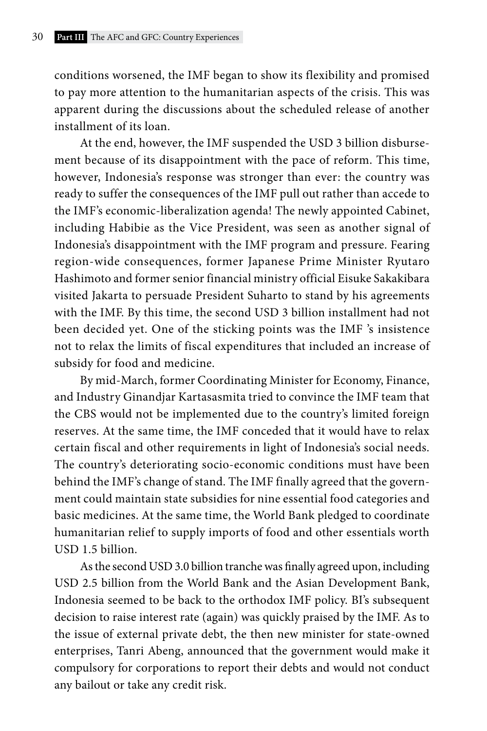conditions worsened, the IMF began to show its flexibility and promised to pay more attention to the humanitarian aspects of the crisis. This was apparent during the discussions about the scheduled release of another installment of its loan.

At the end, however, the IMF suspended the USD 3 billion disbursement because of its disappointment with the pace of reform. This time, however, Indonesia's response was stronger than ever: the country was ready to suffer the consequences of the IMF pull out rather than accede to the IMF's economic-liberalization agenda! The newly appointed Cabinet, including Habibie as the Vice President, was seen as another signal of Indonesia's disappointment with the IMF program and pressure. Fearing region-wide consequences, former Japanese Prime Minister Ryutaro Hashimoto and former senior financial ministry official Eisuke Sakakibara visited Jakarta to persuade President Suharto to stand by his agreements with the IMF. By this time, the second USD 3 billion installment had not been decided yet. One of the sticking points was the IMF 's insistence not to relax the limits of fiscal expenditures that included an increase of subsidy for food and medicine.

By mid-March, former Coordinating Minister for Economy, Finance, and Industry Ginandjar Kartasasmita tried to convince the IMF team that the CBS would not be implemented due to the country's limited foreign reserves. At the same time, the IMF conceded that it would have to relax certain fiscal and other requirements in light of Indonesia's social needs. The country's deteriorating socio-economic conditions must have been behind the IMF's change of stand. The IMF finally agreed that the government could maintain state subsidies for nine essential food categories and basic medicines. At the same time, the World Bank pledged to coordinate humanitarian relief to supply imports of food and other essentials worth USD 1.5 billion.

As the second USD 3.0 billion tranche was finally agreed upon, including USD 2.5 billion from the World Bank and the Asian Development Bank, Indonesia seemed to be back to the orthodox IMF policy. BI's subsequent decision to raise interest rate (again) was quickly praised by the IMF. As to the issue of external private debt, the then new minister for state-owned enterprises, Tanri Abeng, announced that the government would make it compulsory for corporations to report their debts and would not conduct any bailout or take any credit risk.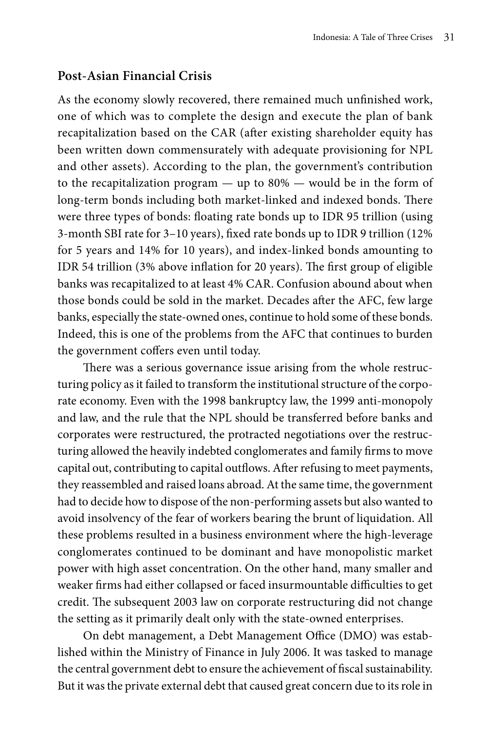### **Post-Asian Financial Crisis**

As the economy slowly recovered, there remained much unfinished work, one of which was to complete the design and execute the plan of bank recapitalization based on the CAR (after existing shareholder equity has been written down commensurately with adequate provisioning for NPL and other assets). According to the plan, the government's contribution to the recapitalization program — up to 80% — would be in the form of long-term bonds including both market-linked and indexed bonds. There were three types of bonds: floating rate bonds up to IDR 95 trillion (using 3-month SBI rate for 3–10 years), fixed rate bonds up to IDR 9 trillion (12% for 5 years and 14% for 10 years), and index-linked bonds amounting to IDR 54 trillion (3% above inflation for 20 years). The first group of eligible banks was recapitalized to at least 4% CAR. Confusion abound about when those bonds could be sold in the market. Decades after the AFC, few large banks, especially the state-owned ones, continue to hold some of these bonds. Indeed, this is one of the problems from the AFC that continues to burden the government coffers even until today.

There was a serious governance issue arising from the whole restructuring policy as it failed to transform the institutional structure of the corporate economy. Even with the 1998 bankruptcy law, the 1999 anti-monopoly and law, and the rule that the NPL should be transferred before banks and corporates were restructured, the protracted negotiations over the restructuring allowed the heavily indebted conglomerates and family firms to move capital out, contributing to capital outflows. After refusing to meet payments, they reassembled and raised loans abroad. At the same time, the government had to decide how to dispose of the non-performing assets but also wanted to avoid insolvency of the fear of workers bearing the brunt of liquidation. All these problems resulted in a business environment where the high-leverage conglomerates continued to be dominant and have monopolistic market power with high asset concentration. On the other hand, many smaller and weaker firms had either collapsed or faced insurmountable difficulties to get credit. The subsequent 2003 law on corporate restructuring did not change the setting as it primarily dealt only with the state-owned enterprises.

On debt management, a Debt Management Office (DMO) was established within the Ministry of Finance in July 2006. It was tasked to manage the central government debt to ensure the achievement of fiscal sustainability. But it was the private external debt that caused great concern due to its role in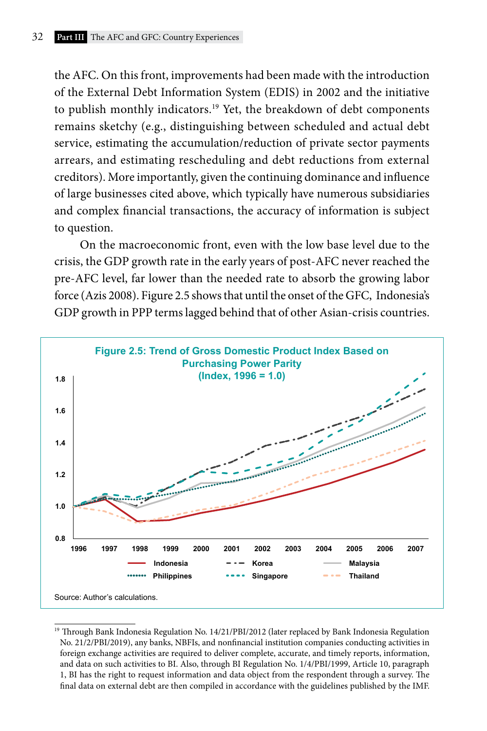the AFC. On this front, improvements had been made with the introduction of the External Debt Information System (EDIS) in 2002 and the initiative to publish monthly indicators.<sup>19</sup> Yet, the breakdown of debt components remains sketchy (e.g., distinguishing between scheduled and actual debt service, estimating the accumulation/reduction of private sector payments arrears, and estimating rescheduling and debt reductions from external creditors). More importantly, given the continuing dominance and influence of large businesses cited above, which typically have numerous subsidiaries and complex financial transactions, the accuracy of information is subject to question.

On the macroeconomic front, even with the low base level due to the crisis, the GDP growth rate in the early years of post-AFC never reached the pre-AFC level, far lower than the needed rate to absorb the growing labor force (Azis 2008). Figure 2.5 shows that until the onset of the GFC, Indonesia's GDP growth in PPP terms lagged behind that of other Asian-crisis countries.



<sup>&</sup>lt;sup>19</sup> Through Bank Indonesia Regulation No. 14/21/PBI/2012 (later replaced by Bank Indonesia Regulation No. 21/2/PBI/2019), any banks, NBFIs, and nonfinancial institution companies conducting activities in foreign exchange activities are required to deliver complete, accurate, and timely reports, information, and data on such activities to BI. Also, through BI Regulation No. 1/4/PBI/1999, Article 10, paragraph 1, BI has the right to request information and data object from the respondent through a survey. The final data on external debt are then compiled in accordance with the guidelines published by the IMF.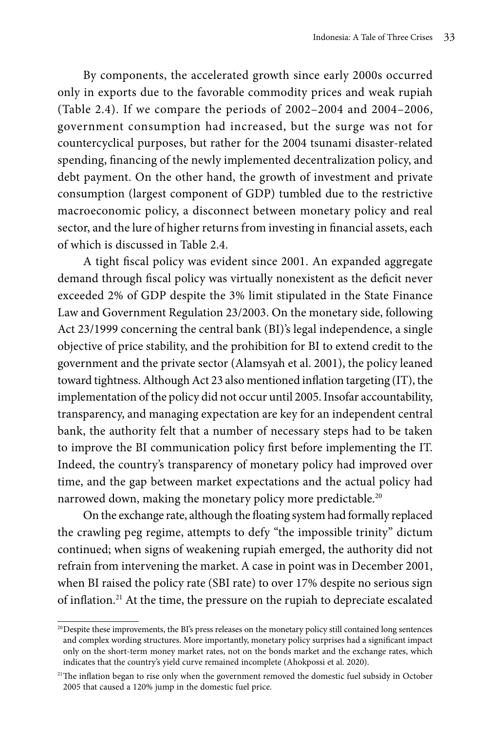By components, the accelerated growth since early 2000s occurred only in exports due to the favorable commodity prices and weak rupiah (Table 2.4). If we compare the periods of 2002–2004 and 2004–2006, government consumption had increased, but the surge was not for countercyclical purposes, but rather for the 2004 tsunami disaster-related spending, financing of the newly implemented decentralization policy, and debt payment. On the other hand, the growth of investment and private consumption (largest component of GDP) tumbled due to the restrictive macroeconomic policy, a disconnect between monetary policy and real sector, and the lure of higher returns from investing in financial assets, each of which is discussed in Table 2.4.

A tight fiscal policy was evident since 2001. An expanded aggregate demand through fiscal policy was virtually nonexistent as the deficit never exceeded 2% of GDP despite the 3% limit stipulated in the State Finance Law and Government Regulation 23/2003. On the monetary side, following Act 23/1999 concerning the central bank (BI)'s legal independence, a single objective of price stability, and the prohibition for BI to extend credit to the government and the private sector (Alamsyah et al. 2001), the policy leaned toward tightness. Although Act 23 also mentioned inflation targeting (IT), the implementation of the policy did not occur until 2005. Insofar accountability, transparency, and managing expectation are key for an independent central bank, the authority felt that a number of necessary steps had to be taken to improve the BI communication policy first before implementing the IT. Indeed, the country's transparency of monetary policy had improved over time, and the gap between market expectations and the actual policy had narrowed down, making the monetary policy more predictable.<sup>20</sup>

On the exchange rate, although the floating system had formally replaced the crawling peg regime, attempts to defy "the impossible trinity" dictum continued; when signs of weakening rupiah emerged, the authority did not refrain from intervening the market. A case in point was in December 2001, when BI raised the policy rate (SBI rate) to over 17% despite no serious sign of inflation.21 At the time, the pressure on the rupiah to depreciate escalated

<sup>&</sup>lt;sup>20</sup>Despite these improvements, the BI's press releases on the monetary policy still contained long sentences and complex wording structures. More importantly, monetary policy surprises had a significant impact only on the short-term money market rates, not on the bonds market and the exchange rates, which indicates that the country's yield curve remained incomplete (Ahokpossi et al. 2020).

<sup>&</sup>lt;sup>21</sup>The inflation began to rise only when the government removed the domestic fuel subsidy in October 2005 that caused a 120% jump in the domestic fuel price.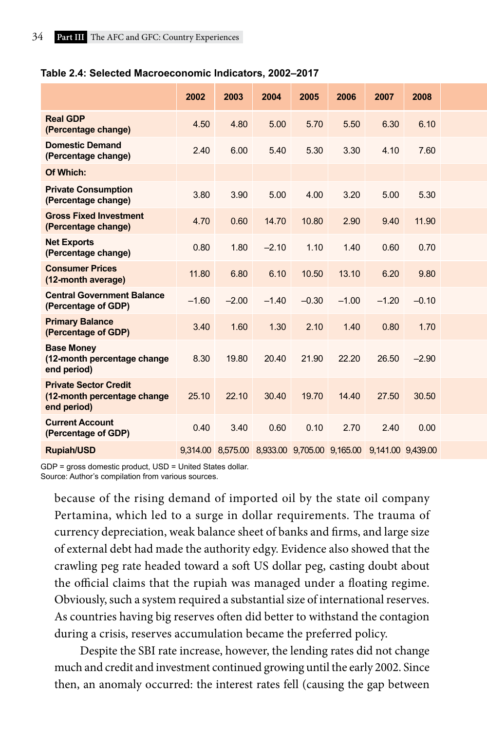#### **Table 2.4: Selected Macroeconomic Indicators, 2002–2017**

|                                                                            | 2002    | 2003    | 2004    | 2005    | 2006    | 2007                                                           | 2008    |  |
|----------------------------------------------------------------------------|---------|---------|---------|---------|---------|----------------------------------------------------------------|---------|--|
| <b>Real GDP</b><br>(Percentage change)                                     | 4.50    | 4.80    | 5.00    | 5.70    | 5.50    | 6.30                                                           | 6.10    |  |
| <b>Domestic Demand</b><br>(Percentage change)                              | 2.40    | 6.00    | 5.40    | 5.30    | 3.30    | 4.10                                                           | 7.60    |  |
| Of Which:                                                                  |         |         |         |         |         |                                                                |         |  |
| <b>Private Consumption</b><br>(Percentage change)                          | 3.80    | 3.90    | 5.00    | 4.00    | 3.20    | 5.00                                                           | 5.30    |  |
| <b>Gross Fixed Investment</b><br>(Percentage change)                       | 4.70    | 0.60    | 14.70   | 10.80   | 2.90    | 9.40                                                           | 11.90   |  |
| <b>Net Exports</b><br>(Percentage change)                                  | 0.80    | 1.80    | $-2.10$ | 1.10    | 1.40    | 0.60                                                           | 0.70    |  |
| <b>Consumer Prices</b><br>(12-month average)                               | 11.80   | 6.80    | 6.10    | 10.50   | 13.10   | 6.20                                                           | 9.80    |  |
| <b>Central Government Balance</b><br>(Percentage of GDP)                   | $-1.60$ | $-2.00$ | $-1.40$ | $-0.30$ | $-1.00$ | $-1.20$                                                        | $-0.10$ |  |
| <b>Primary Balance</b><br>(Percentage of GDP)                              | 3.40    | 1.60    | 1.30    | 2.10    | 1.40    | 0.80                                                           | 1.70    |  |
| <b>Base Money</b><br>(12-month percentage change<br>end period)            | 8.30    | 19.80   | 20.40   | 21.90   | 22.20   | 26.50                                                          | $-2.90$ |  |
| <b>Private Sector Credit</b><br>(12-month percentage change<br>end period) | 25.10   | 22.10   | 30.40   | 19.70   | 14.40   | 27.50                                                          | 30.50   |  |
| <b>Current Account</b><br>(Percentage of GDP)                              | 0.40    | 3.40    | 0.60    | 0.10    | 2.70    | 2.40                                                           | 0.00    |  |
| <b>Rupiah/USD</b>                                                          |         |         |         |         |         | 9,314.00 8,575.00 8,933.00 9,705.00 9,165.00 9,141.00 9,439.00 |         |  |

GDP = gross domestic product, USD = United States dollar. Source: Author's compilation from various sources.

because of the rising demand of imported oil by the state oil company Pertamina, which led to a surge in dollar requirements. The trauma of currency depreciation, weak balance sheet of banks and firms, and large size of external debt had made the authority edgy. Evidence also showed that the crawling peg rate headed toward a soft US dollar peg, casting doubt about the official claims that the rupiah was managed under a floating regime. Obviously, such a system required a substantial size of international reserves. As countries having big reserves often did better to withstand the contagion during a crisis, reserves accumulation became the preferred policy.

Despite the SBI rate increase, however, the lending rates did not change much and credit and investment continued growing until the early 2002. Since then, an anomaly occurred: the interest rates fell (causing the gap between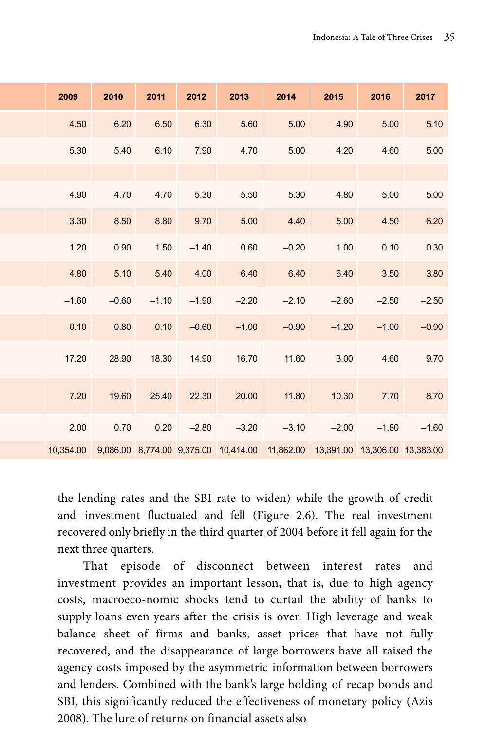| 2009    | 2010    | 2011    | 2012    | 2013    | 2014                                                                                   | 2015    | 2016    | 2017    |
|---------|---------|---------|---------|---------|----------------------------------------------------------------------------------------|---------|---------|---------|
| 4.50    | 6.20    | 6.50    | 6.30    | 5.60    | 5.00                                                                                   | 4.90    | 5.00    | 5.10    |
| 5.30    | 5.40    | 6.10    | 7.90    | 4.70    | 5.00                                                                                   | 4.20    | 4.60    | 5.00    |
|         |         |         |         |         |                                                                                        |         |         |         |
| 4.90    | 4.70    | 4.70    | 5.30    | 5.50    | 5.30                                                                                   | 4.80    | 5.00    | 5.00    |
| 3.30    | 8.50    | 8.80    | 9.70    | 5.00    | 4.40                                                                                   | 5.00    | 4.50    | 6.20    |
| 1.20    | 0.90    | 1.50    | $-1.40$ | 0.60    | $-0.20$                                                                                | 1.00    | 0.10    | 0.30    |
| 4.80    | 5.10    | 5.40    | 4.00    | 6.40    | 6.40                                                                                   | 6.40    | 3.50    | 3.80    |
| $-1.60$ | $-0.60$ | $-1.10$ | $-1.90$ | $-2.20$ | $-2.10$                                                                                | $-2.60$ | $-2.50$ | $-2.50$ |
| 0.10    | 0.80    | 0.10    | $-0.60$ | $-1.00$ | $-0.90$                                                                                | $-1.20$ | $-1.00$ | $-0.90$ |
| 17.20   | 28.90   | 18.30   | 14.90   | 16.70   | 11.60                                                                                  | 3.00    | 4.60    | 9.70    |
| 7.20    | 19.60   | 25.40   | 22.30   | 20.00   | 11.80                                                                                  | 10.30   | 7.70    | 8.70    |
| 2.00    | 0.70    | 0.20    | $-2.80$ | $-3.20$ | $-3.10$                                                                                | $-2.00$ | $-1.80$ | $-1.60$ |
|         |         |         |         |         | 10,354.00 9,086.00 8,774.00 9,375.00 10,414.00 11,862.00 13,391.00 13,306.00 13,383.00 |         |         |         |

the lending rates and the SBI rate to widen) while the growth of credit and investment fluctuated and fell (Figure 2.6). The real investment recovered only briefly in the third quarter of 2004 before it fell again for the next three quarters.

That episode of disconnect between interest rates and investment provides an important lesson, that is, due to high agency costs, macroeco-nomic shocks tend to curtail the ability of banks to supply loans even years after the crisis is over. High leverage and weak balance sheet of firms and banks, asset prices that have not fully recovered, and the disappearance of large borrowers have all raised the agency costs imposed by the asymmetric information between borrowers and lenders. Combined with the bank's large holding of recap bonds and SBI, this significantly reduced the effectiveness of monetary policy (Azis 2008). The lure of returns on financial assets also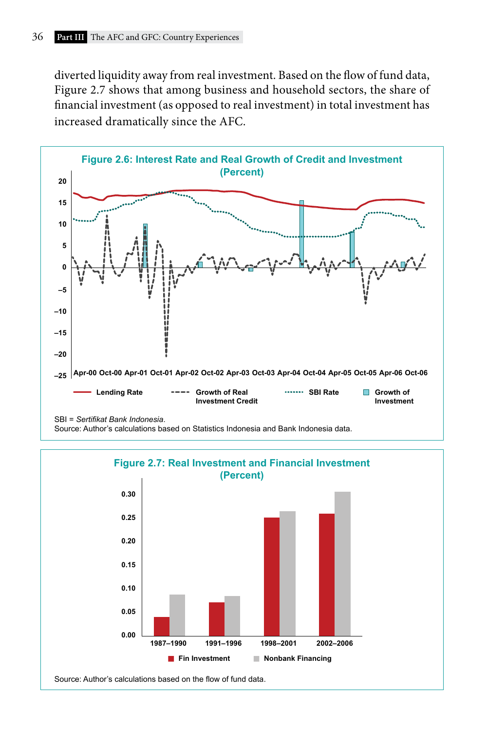diverted liquidity away from real investment. Based on the flow of fund data, Figure 2.7 shows that among business and household sectors, the share of financial investment (as opposed to real investment) in total investment has increased dramatically since the AFC.



Source: Author's calculations based on Statistics Indonesia and Bank Indonesia data.

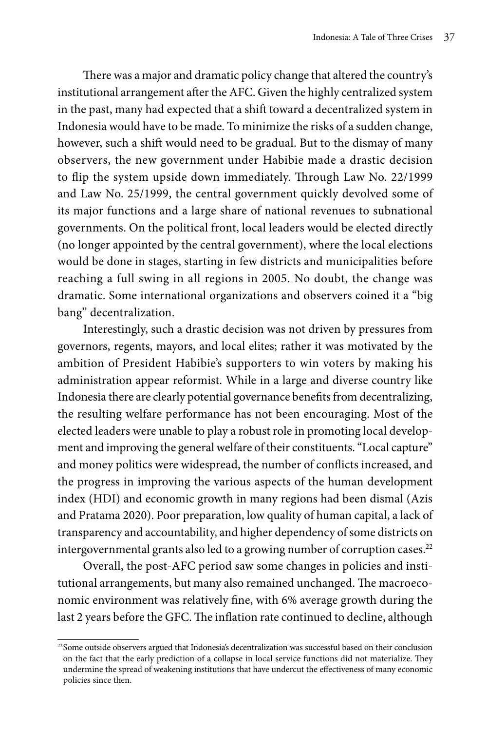There was a major and dramatic policy change that altered the country's institutional arrangement after the AFC. Given the highly centralized system in the past, many had expected that a shift toward a decentralized system in Indonesia would have to be made. To minimize the risks of a sudden change, however, such a shift would need to be gradual. But to the dismay of many observers, the new government under Habibie made a drastic decision to flip the system upside down immediately. Through Law No. 22/1999 and Law No. 25/1999, the central government quickly devolved some of its major functions and a large share of national revenues to subnational governments. On the political front, local leaders would be elected directly (no longer appointed by the central government), where the local elections would be done in stages, starting in few districts and municipalities before reaching a full swing in all regions in 2005. No doubt, the change was dramatic. Some international organizations and observers coined it a "big bang" decentralization.

Interestingly, such a drastic decision was not driven by pressures from governors, regents, mayors, and local elites; rather it was motivated by the ambition of President Habibie's supporters to win voters by making his administration appear reformist. While in a large and diverse country like Indonesia there are clearly potential governance benefits from decentralizing, the resulting welfare performance has not been encouraging. Most of the elected leaders were unable to play a robust role in promoting local development and improving the general welfare of their constituents. "Local capture" and money politics were widespread, the number of conflicts increased, and the progress in improving the various aspects of the human development index (HDI) and economic growth in many regions had been dismal (Azis and Pratama 2020). Poor preparation, low quality of human capital, a lack of transparency and accountability, and higher dependency of some districts on intergovernmental grants also led to a growing number of corruption cases.<sup>22</sup>

Overall, the post-AFC period saw some changes in policies and institutional arrangements, but many also remained unchanged. The macroeconomic environment was relatively fine, with 6% average growth during the last 2 years before the GFC. The inflation rate continued to decline, although

<sup>22</sup>Some outside observers argued that Indonesia's decentralization was successful based on their conclusion on the fact that the early prediction of a collapse in local service functions did not materialize. They undermine the spread of weakening institutions that have undercut the effectiveness of many economic policies since then.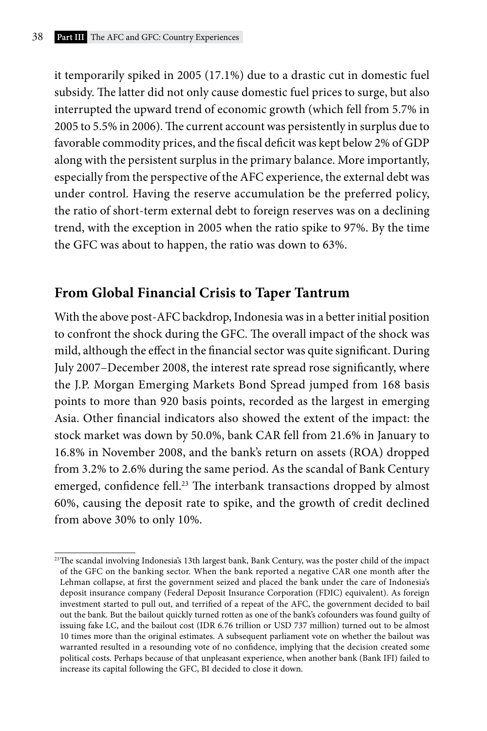it temporarily spiked in 2005 (17.1%) due to a drastic cut in domestic fuel subsidy. The latter did not only cause domestic fuel prices to surge, but also interrupted the upward trend of economic growth (which fell from 5.7% in 2005 to 5.5% in 2006). The current account was persistently in surplus due to favorable commodity prices, and the fiscal deficit was kept below 2% of GDP along with the persistent surplus in the primary balance. More importantly, especially from the perspective of the AFC experience, the external debt was under control. Having the reserve accumulation be the preferred policy, the ratio of short-term external debt to foreign reserves was on a declining trend, with the exception in 2005 when the ratio spike to 97%. By the time the GFC was about to happen, the ratio was down to 63%.

# **From Global Financial Crisis to Taper Tantrum**

With the above post-AFC backdrop, Indonesia was in a better initial position to confront the shock during the GFC. The overall impact of the shock was mild, although the effect in the financial sector was quite significant. During July 2007–December 2008, the interest rate spread rose significantly, where the J.P. Morgan Emerging Markets Bond Spread jumped from 168 basis points to more than 920 basis points, recorded as the largest in emerging Asia. Other financial indicators also showed the extent of the impact: the stock market was down by 50.0%, bank CAR fell from 21.6% in January to 16.8% in November 2008, and the bank's return on assets (ROA) dropped from 3.2% to 2.6% during the same period. As the scandal of Bank Century emerged, confidence fell.<sup>23</sup> The interbank transactions dropped by almost 60%, causing the deposit rate to spike, and the growth of credit declined from above 30% to only 10%.

<sup>&</sup>lt;sup>23</sup>The scandal involving Indonesia's 13th largest bank, Bank Century, was the poster child of the impact of the GFC on the banking sector. When the bank reported a negative CAR one month after the Lehman collapse, at first the government seized and placed the bank under the care of Indonesia's deposit insurance company (Federal Deposit Insurance Corporation (FDIC) equivalent). As foreign investment started to pull out, and terrified of a repeat of the AFC, the government decided to bail out the bank. But the bailout quickly turned rotten as one of the bank's cofounders was found guilty of issuing fake LC, and the bailout cost (IDR 6.76 trillion or USD 737 million) turned out to be almost 10 times more than the original estimates. A subsequent parliament vote on whether the bailout was warranted resulted in a resounding vote of no confidence, implying that the decision created some political costs. Perhaps because of that unpleasant experience, when another bank (Bank IFI) failed to increase its capital following the GFC, BI decided to close it down.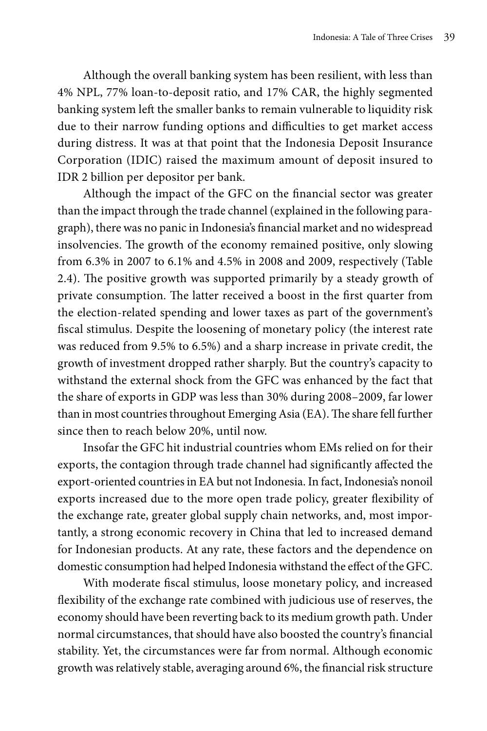Although the overall banking system has been resilient, with less than 4% NPL, 77% loan-to-deposit ratio, and 17% CAR, the highly segmented banking system left the smaller banks to remain vulnerable to liquidity risk due to their narrow funding options and difficulties to get market access during distress. It was at that point that the Indonesia Deposit Insurance Corporation (IDIC) raised the maximum amount of deposit insured to IDR 2 billion per depositor per bank.

Although the impact of the GFC on the financial sector was greater than the impact through the trade channel (explained in the following paragraph), there was no panic in Indonesia's financial market and no widespread insolvencies. The growth of the economy remained positive, only slowing from 6.3% in 2007 to 6.1% and 4.5% in 2008 and 2009, respectively (Table 2.4). The positive growth was supported primarily by a steady growth of private consumption. The latter received a boost in the first quarter from the election-related spending and lower taxes as part of the government's fiscal stimulus. Despite the loosening of monetary policy (the interest rate was reduced from 9.5% to 6.5%) and a sharp increase in private credit, the growth of investment dropped rather sharply. But the country's capacity to withstand the external shock from the GFC was enhanced by the fact that the share of exports in GDP was less than 30% during 2008–2009, far lower than in most countries throughout Emerging Asia (EA). The share fell further since then to reach below 20%, until now.

Insofar the GFC hit industrial countries whom EMs relied on for their exports, the contagion through trade channel had significantly affected the export-oriented countries in EA but not Indonesia. In fact, Indonesia's nonoil exports increased due to the more open trade policy, greater flexibility of the exchange rate, greater global supply chain networks, and, most importantly, a strong economic recovery in China that led to increased demand for Indonesian products. At any rate, these factors and the dependence on domestic consumption had helped Indonesia withstand the effect of the GFC.

With moderate fiscal stimulus, loose monetary policy, and increased flexibility of the exchange rate combined with judicious use of reserves, the economy should have been reverting back to its medium growth path. Under normal circumstances, that should have also boosted the country's financial stability. Yet, the circumstances were far from normal. Although economic growth was relatively stable, averaging around 6%, the financial risk structure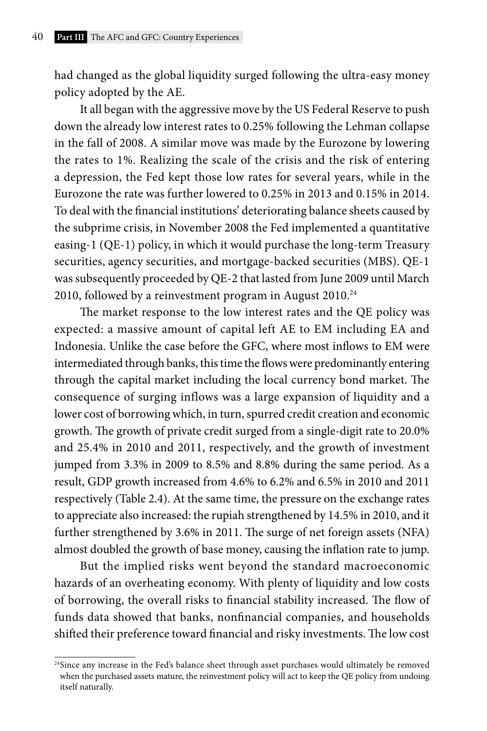had changed as the global liquidity surged following the ultra-easy money policy adopted by the AE.

It all began with the aggressive move by the US Federal Reserve to push down the already low interest rates to 0.25% following the Lehman collapse in the fall of 2008. A similar move was made by the Eurozone by lowering the rates to 1%. Realizing the scale of the crisis and the risk of entering a depression, the Fed kept those low rates for several years, while in the Eurozone the rate was further lowered to 0.25% in 2013 and 0.15% in 2014. To deal with the financial institutions' deteriorating balance sheets caused by the subprime crisis, in November 2008 the Fed implemented a quantitative easing-1 (QE-1) policy, in which it would purchase the long-term Treasury securities, agency securities, and mortgage-backed securities (MBS). QE-1 was subsequently proceeded by QE-2 that lasted from June 2009 until March 2010, followed by a reinvestment program in August 2010.<sup>24</sup>

The market response to the low interest rates and the QE policy was expected: a massive amount of capital left AE to EM including EA and Indonesia. Unlike the case before the GFC, where most inflows to EM were intermediated through banks, this time the flows were predominantly entering through the capital market including the local currency bond market. The consequence of surging inflows was a large expansion of liquidity and a lower cost of borrowing which, in turn, spurred credit creation and economic growth. The growth of private credit surged from a single-digit rate to 20.0% and 25.4% in 2010 and 2011, respectively, and the growth of investment jumped from 3.3% in 2009 to 8.5% and 8.8% during the same period. As a result, GDP growth increased from 4.6% to 6.2% and 6.5% in 2010 and 2011 respectively (Table 2.4). At the same time, the pressure on the exchange rates to appreciate also increased: the rupiah strengthened by 14.5% in 2010, and it further strengthened by 3.6% in 2011. The surge of net foreign assets (NFA) almost doubled the growth of base money, causing the inflation rate to jump.

But the implied risks went beyond the standard macroeconomic hazards of an overheating economy. With plenty of liquidity and low costs of borrowing, the overall risks to financial stability increased. The flow of funds data showed that banks, nonfinancial companies, and households shifted their preference toward financial and risky investments. The low cost

<sup>&</sup>lt;sup>24</sup>Since any increase in the Fed's balance sheet through asset purchases would ultimately be removed when the purchased assets mature, the reinvestment policy will act to keep the QE policy from undoing itself naturally.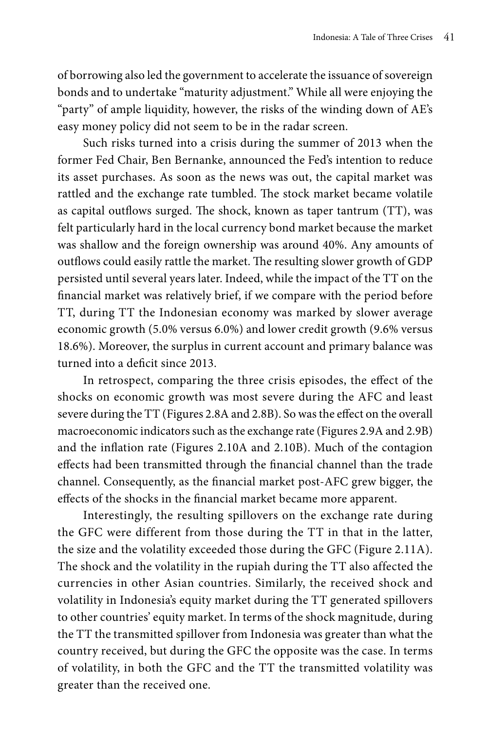of borrowing also led the government to accelerate the issuance of sovereign bonds and to undertake "maturity adjustment." While all were enjoying the "party" of ample liquidity, however, the risks of the winding down of AE's easy money policy did not seem to be in the radar screen.

Such risks turned into a crisis during the summer of 2013 when the former Fed Chair, Ben Bernanke, announced the Fed's intention to reduce its asset purchases. As soon as the news was out, the capital market was rattled and the exchange rate tumbled. The stock market became volatile as capital outflows surged. The shock, known as taper tantrum (TT), was felt particularly hard in the local currency bond market because the market was shallow and the foreign ownership was around 40%. Any amounts of outflows could easily rattle the market. The resulting slower growth of GDP persisted until several years later. Indeed, while the impact of the TT on the financial market was relatively brief, if we compare with the period before TT, during TT the Indonesian economy was marked by slower average economic growth (5.0% versus 6.0%) and lower credit growth (9.6% versus 18.6%). Moreover, the surplus in current account and primary balance was turned into a deficit since 2013.

In retrospect, comparing the three crisis episodes, the effect of the shocks on economic growth was most severe during the AFC and least severe during the TT (Figures 2.8A and 2.8B). So was the effect on the overall macroeconomic indicators such as the exchange rate (Figures 2.9A and 2.9B) and the inflation rate (Figures 2.10A and 2.10B). Much of the contagion effects had been transmitted through the financial channel than the trade channel. Consequently, as the financial market post-AFC grew bigger, the effects of the shocks in the financial market became more apparent.

Interestingly, the resulting spillovers on the exchange rate during the GFC were different from those during the TT in that in the latter, the size and the volatility exceeded those during the GFC (Figure 2.11A). The shock and the volatility in the rupiah during the TT also affected the currencies in other Asian countries. Similarly, the received shock and volatility in Indonesia's equity market during the TT generated spillovers to other countries' equity market. In terms of the shock magnitude, during the TT the transmitted spillover from Indonesia was greater than what the country received, but during the GFC the opposite was the case. In terms of volatility, in both the GFC and the TT the transmitted volatility was greater than the received one.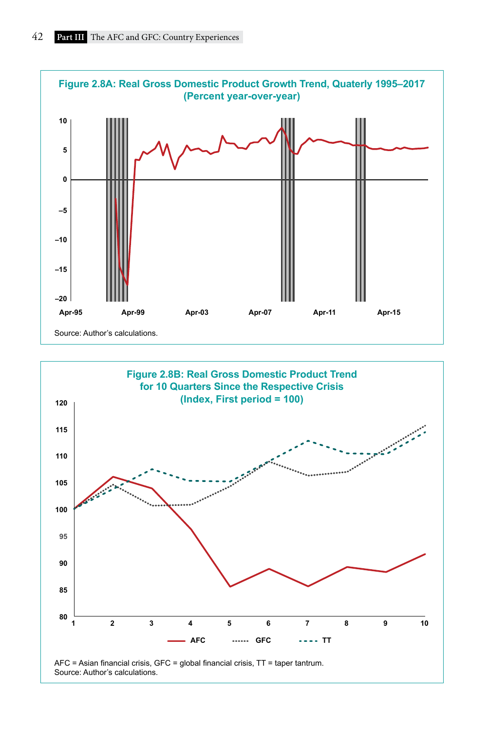



Source: Author's calculations.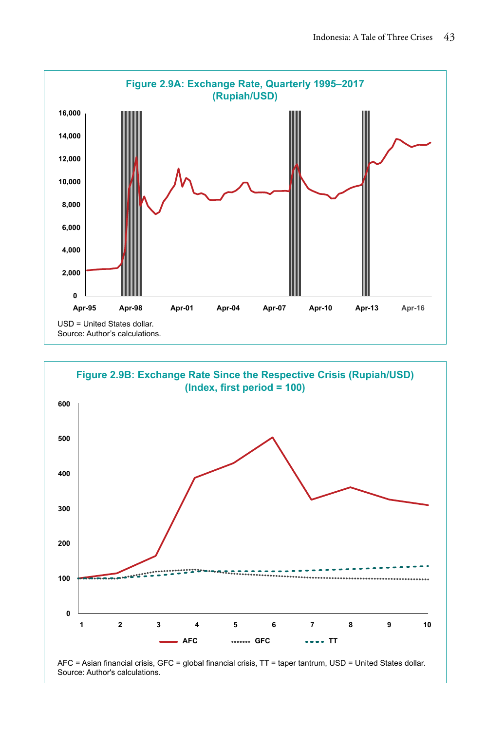



AFC = Asian financial crisis, GFC = global financial crisis, TT = taper tantrum, USD = United States dollar. Source: Author's calculations.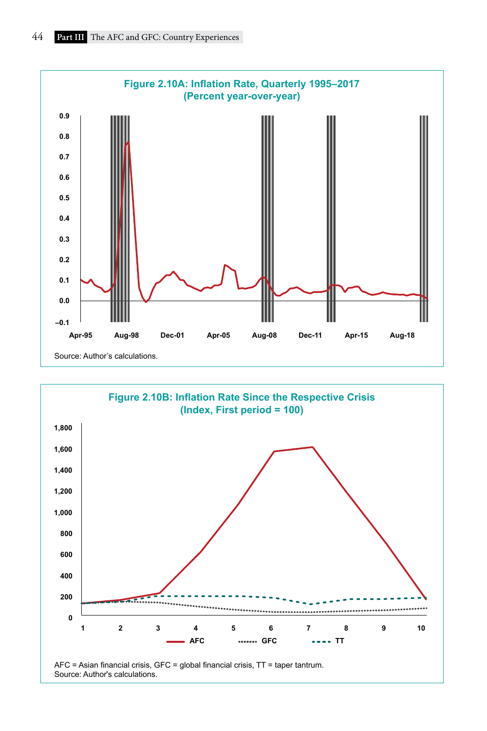



AFC = Asian financial crisis, GFC = global financial crisis, TT = taper tantrum. Source: Author's calculations.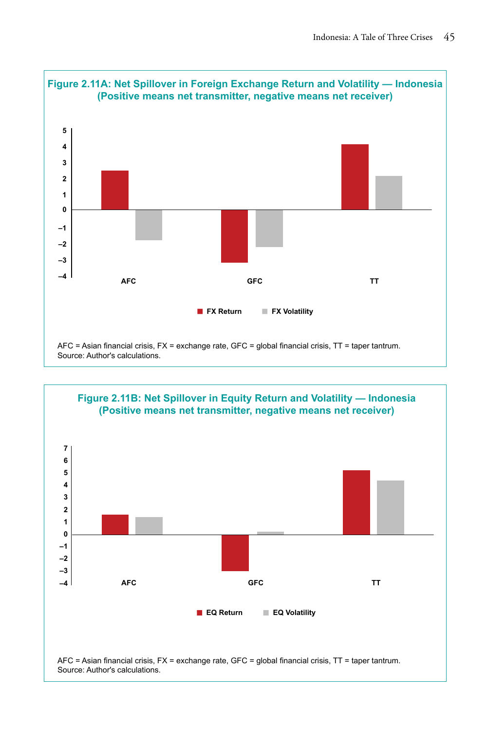

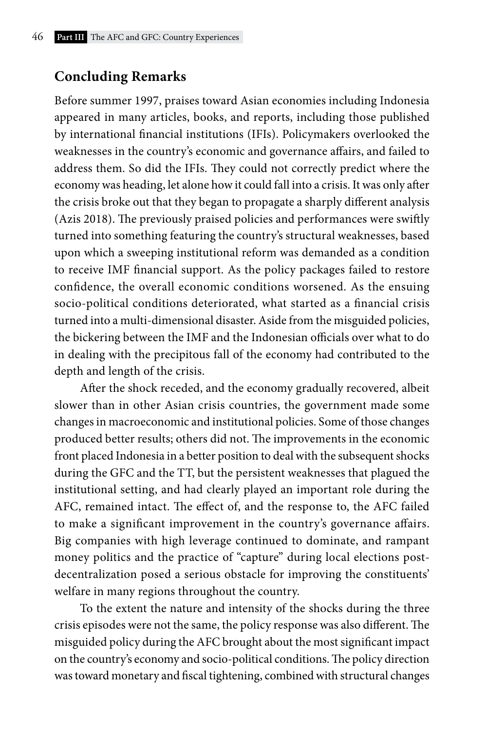# **Concluding Remarks**

Before summer 1997, praises toward Asian economies including Indonesia appeared in many articles, books, and reports, including those published by international financial institutions (IFIs). Policymakers overlooked the weaknesses in the country's economic and governance affairs, and failed to address them. So did the IFIs. They could not correctly predict where the economy was heading, let alone how it could fall into a crisis. It was only after the crisis broke out that they began to propagate a sharply different analysis (Azis 2018). The previously praised policies and performances were swiftly turned into something featuring the country's structural weaknesses, based upon which a sweeping institutional reform was demanded as a condition to receive IMF financial support. As the policy packages failed to restore confidence, the overall economic conditions worsened. As the ensuing socio-political conditions deteriorated, what started as a financial crisis turned into a multi-dimensional disaster. Aside from the misguided policies, the bickering between the IMF and the Indonesian officials over what to do in dealing with the precipitous fall of the economy had contributed to the depth and length of the crisis.

After the shock receded, and the economy gradually recovered, albeit slower than in other Asian crisis countries, the government made some changes in macroeconomic and institutional policies. Some of those changes produced better results; others did not. The improvements in the economic front placed Indonesia in a better position to deal with the subsequent shocks during the GFC and the TT, but the persistent weaknesses that plagued the institutional setting, and had clearly played an important role during the AFC, remained intact. The effect of, and the response to, the AFC failed to make a significant improvement in the country's governance affairs. Big companies with high leverage continued to dominate, and rampant money politics and the practice of "capture" during local elections postdecentralization posed a serious obstacle for improving the constituents' welfare in many regions throughout the country.

To the extent the nature and intensity of the shocks during the three crisis episodes were not the same, the policy response was also different. The misguided policy during the AFC brought about the most significant impact on the country's economy and socio-political conditions. The policy direction was toward monetary and fiscal tightening, combined with structural changes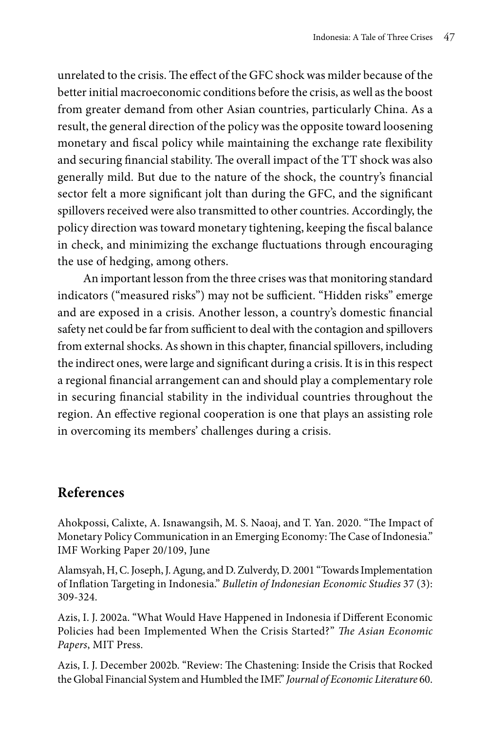unrelated to the crisis. The effect of the GFC shock was milder because of the better initial macroeconomic conditions before the crisis, as well as the boost from greater demand from other Asian countries, particularly China. As a result, the general direction of the policy was the opposite toward loosening monetary and fiscal policy while maintaining the exchange rate flexibility and securing financial stability. The overall impact of the TT shock was also generally mild. But due to the nature of the shock, the country's financial sector felt a more significant jolt than during the GFC, and the significant spillovers received were also transmitted to other countries. Accordingly, the policy direction was toward monetary tightening, keeping the fiscal balance in check, and minimizing the exchange fluctuations through encouraging the use of hedging, among others.

An important lesson from the three crises was that monitoring standard indicators ("measured risks") may not be sufficient. "Hidden risks" emerge and are exposed in a crisis. Another lesson, a country's domestic financial safety net could be far from sufficient to deal with the contagion and spillovers from external shocks. As shown in this chapter, financial spillovers, including the indirect ones, were large and significant during a crisis. It is in this respect a regional financial arrangement can and should play a complementary role in securing financial stability in the individual countries throughout the region. An effective regional cooperation is one that plays an assisting role in overcoming its members' challenges during a crisis.

# **References**

Ahokpossi, Calixte, A. Isnawangsih, M. S. Naoaj, and T. Yan. 2020. "The Impact of Monetary Policy Communication in an Emerging Economy: The Case of Indonesia." IMF Working Paper 20/109, June

Alamsyah, H, C. Joseph, J. Agung, and D. Zulverdy, D. 2001 "Towards Implementation of Inflation Targeting in Indonesia." *Bulletin of Indonesian Economic Studies* 37 (3): 309-324.

Azis, I. J. 2002a. "What Would Have Happened in Indonesia if Different Economic Policies had been Implemented When the Crisis Started?" *The Asian Economic Papers*, MIT Press.

Azis, I. J. December 2002b. "Review: The Chastening: Inside the Crisis that Rocked the Global Financial System and Humbled the IMF." *Journal of Economic Literature* 60.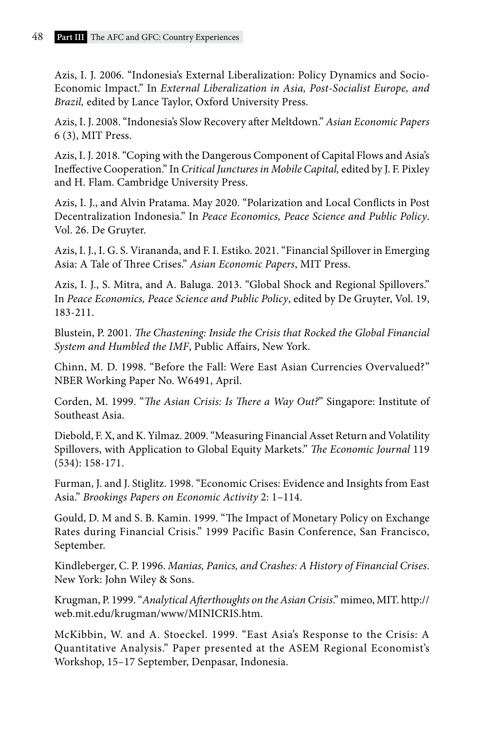### 48 **Part III** The AFC and GFC: Country Experiences

Azis, I. J. 2006. "Indonesia's External Liberalization: Policy Dynamics and Socio-Economic Impact." In *External Liberalization in Asia, Post-Socialist Europe, and Brazil,* edited by Lance Taylor, Oxford University Press.

Azis, I. J. 2008. "Indonesia's Slow Recovery after Meltdown." *Asian Economic Papers* 6 (3), MIT Press.

Azis, I. J. 2018. "Coping with the Dangerous Component of Capital Flows and Asia's Ineffective Cooperation." In *Critical Junctures in Mobile Capital,* edited by J. F. Pixley and H. Flam. Cambridge University Press.

Azis, I. J., and Alvin Pratama. May 2020. "Polarization and Local Conflicts in Post Decentralization Indonesia." In *Peace Economics, Peace Science and Public Policy*. Vol. 26. De Gruyter.

Azis, I. J., I. G. S. Virananda, and F. I. Estiko. 2021. "Financial Spillover in Emerging Asia: A Tale of Three Crises." *Asian Economic Papers*, MIT Press.

Azis, I. J., S. Mitra, and A. Baluga. 2013. "Global Shock and Regional Spillovers." In *Peace Economics, Peace Science and Public Policy*, edited by De Gruyter, Vol. 19, 183-211.

Blustein, P. 2001. *The Chastening: Inside the Crisis that Rocked the Global Financial System and Humbled the IMF*, Public Affairs, New York.

Chinn, M. D. 1998. "Before the Fall: Were East Asian Currencies Overvalued?" NBER Working Paper No. W6491, April.

Corden, M. 1999. "*The Asian Crisis: Is There a Way Out?*" Singapore: Institute of Southeast Asia.

Diebold, F. X, and K. Yilmaz. 2009. "Measuring Financial Asset Return and Volatility Spillovers, with Application to Global Equity Markets." *The Economic Journal* 119 (534): 158-171.

Furman, J. and J. Stiglitz. 1998. "Economic Crises: Evidence and Insights from East Asia." *Brookings Papers on Economic Activity* 2: 1–114.

Gould, D. M and S. B. Kamin. 1999. "The Impact of Monetary Policy on Exchange Rates during Financial Crisis." 1999 Pacific Basin Conference, San Francisco, September.

Kindleberger, C. P. 1996. *Manias, Panics, and Crashes: A History of Financial Crises*. New York: John Wiley & Sons.

Krugman, P. 1999. "*Analytical Afterthoughts on the Asian Crisis*." mimeo, MIT. http:// web.mit.edu/krugman/www/MINICRIS.htm.

McKibbin, W. and A. Stoeckel. 1999. "East Asia's Response to the Crisis: A Quantitative Analysis." Paper presented at the ASEM Regional Economist's Workshop, 15–17 September, Denpasar, Indonesia.